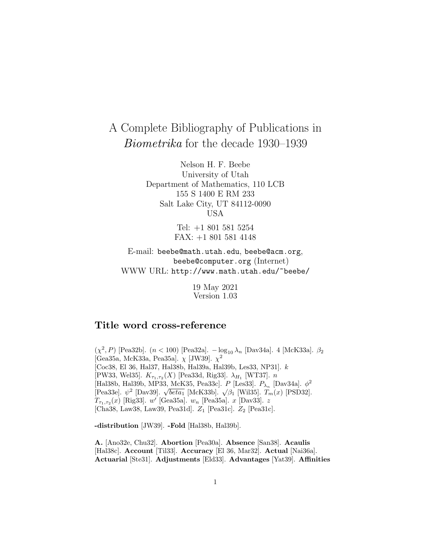# A Complete Bibliography of Publications in Biometrika for the decade 1930–1939

Nelson H. F. Beebe University of Utah Department of Mathematics, 110 LCB 155 S 1400 E RM 233 Salt Lake City, UT 84112-0090 USA

> Tel: +1 801 581 5254 FAX: +1 801 581 4148

E-mail: beebe@math.utah.edu, beebe@acm.org, beebe@computer.org (Internet) WWW URL: http://www.math.utah.edu/~beebe/

> 19 May 2021 Version 1.03

# **Title word cross-reference**

 $(\chi^2, P)$  [Pea32b].  $(n < 100)$  [Pea32a].  $-\log_{10} \lambda_n$  [Dav34a]. 4 [McK33a].  $\beta_2$ [Gea35a, McK33a, Pea35a].  $\chi$  [JW39].  $\chi^2$ [Coc38, El 36, Hal37, Hal38b, Hal39a, Hal39b, Les33, NP31]. k [PW33, Wel35].  $K_{\tau_1,\tau_2}(X)$  [Pea33d, Rig33].  $\lambda_{H_1}$  [WT37]. n [Hal38b, Hal39b, MP33, McK35, Pea33c].  $P$  [Les33].  $P_{\lambda_n}$  [Dav34a].  $\phi^2$ [Pea33e].  $\psi^2$  [Dav39].  $\sqrt{beta_1}$  [McK33b].  $\sqrt{\beta_1}$  [Wil35].  $T_m(x)$  [PSD32].  $T_{\tau_1,\tau_2}(x)$  [Rig33]. w' [Gea35a].  $w_n$  [Pea35a].  $x$  [Dav33].  $z$ [Cha38, Law38, Law39, Pea31d]. Z<sub>1</sub> [Pea31c]. Z<sub>2</sub> [Pea31c].

**-distribution** [JW39]. **-Fold** [Hal38b, Hal39b].

**A.** [Ano32e, Chu32]. **Abortion** [Pea30a]. **Absence** [San38]. **Acaulis** [Hal38c]. **Account** [Til33]. **Accuracy** [El 36, Mar32]. **Actual** [Nai36a]. **Actuarial** [Ste31]. **Adjustments** [Eld33]. **Advantages** [Yat39]. **Affinities**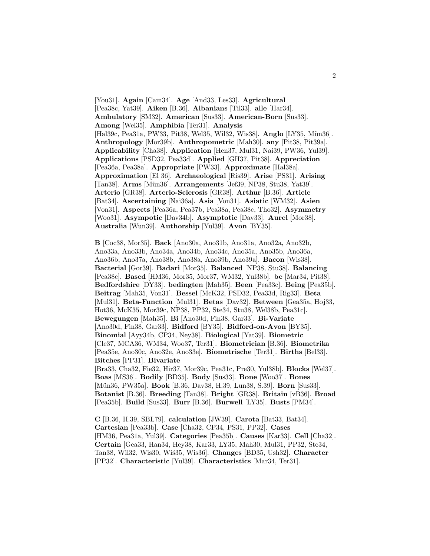[You31]. **Again** [Cam34]. **Age** [And33, Les33]. **Agricultural** [Pea38c, Yat39]. **Aiken** [B.36]. **Albanians** [Til33]. **alle** [Har34]. **Ambulatory** [SM32]. **American** [Sus33]. **American-Born** [Sus33]. **Among** [Wel35]. **Amphibia** [Ter31]. **Analysis** [Hal39c, Pea31a, PW33, Pit38, Wel35, Wil32, Wis38]. **Anglo** [LY35, Mün36]. **Anthropology** [Mor39b]. **Anthropometric** [Mah30]. **any** [Pit38, Pit39a]. **Applicability** [Cha38]. **Application** [Hen37, Mul31, Nai39, PW36, Yul39]. **Applications** [PSD32, Pea33d]. **Applied** [GH37, Pit38]. **Appreciation** [Pea36a, Pea38a]. **Appropriate** [PW33]. **Approximate** [Hal38a]. **Approximation** [El 36]. **Archaeological** [Ris39]. **Arise** [PS31]. **Arising** [Tan38]. **Arms** [M¨un36]. **Arrangements** [Jef39, NP38, Stu38, Yat39]. **Arterio** [GR38]. **Arterio-Sclerosis** [GR38]. **Arthur** [B.36]. **Article** [Bat34]. **Ascertaining** [Nai36a]. **Asia** [Von31]. **Asiatic** [WM32]. **Asien** [Von31]. **Aspects** [Pea36a, Pea37b, Pea38a, Pea38c, Tho32]. **Asymmetry** [Woo31]. **Asympotic** [Dav34b]. **Asymptotic** [Dav33]. **Aurel** [Mor38]. **Australia** [Wun39]. **Authorship** [Yul39]. **Avon** [BY35].

**B** [Coc38, Mor35]. **Back** [Ano30a, Ano31b, Ano31a, Ano32a, Ano32b, Ano33a, Ano33b, Ano34a, Ano34b, Ano34c, Ano35a, Ano35b, Ano36a, Ano36b, Ano37a, Ano38b, Ano38a, Ano39b, Ano39a]. **Bacon** [Wis38]. **Bacterial** [Gor39]. **Badari** [Mor35]. **Balanced** [NP38, Stu38]. **Balancing** [Pea38c]. **Based** [HM36, Mor35, Mor37, WM32, Yul38b]. **be** [Mar34, Pit38]. **Bedfordshire** [DY33]. **bedingten** [Mah35]. **Been** [Pea33c]. **Being** [Pea35b]. **Beitrag** [Mah35, Von31]. **Bessel** [McK32, PSD32, Pea33d, Rig33]. **Beta** [Mul31]. **Beta-Function** [Mul31]. **Betas** [Dav32]. **Between** [Gea35a, Hoj33, Hot36, McK35, Mor39c, NP38, PP32, Ste34, Stu38, Wel38b, Pea31c]. **Bewegungen** [Mah35]. **Bi** [Ano30d, Fin38, Gar33]. **Bi-Variate** [Ano30d, Fin38, Gar33]. **Bidford** [BY35]. **Bidford-on-Avon** [BY35]. **Binomial** [Ayy34b, CP34, Ney38]. **Biological** [Yat39]. **Biometric** [Cle37, MCA36, WM34, Woo37, Ter31]. **Biometrician** [B.36]. **Biometrika** [Pea35e, Ano30c, Ano32e, Ano33e]. **Biometrische** [Ter31]. **Births** [Bel33]. **Bitches** [PP31]. **Bivariate** [Bra33, Cha32, Fie32, Hir37, Mor39c, Pea31c, Pre30, Yul38b]. **Blocks** [Wel37]. **Boas** [MS36]. **Bodily** [BD35]. **Body** [Sus33]. **Bone** [Woo37]. **Bones**

[Mün36, PW35a]. **Book** [B.36, Dav38, H.39, Lun38, S.39]. **Born** [Sus33]. **Botanist** [B.36]. **Breeding** [Tan38]. **Bright** [GR38]. **Britain** [vB36]. **Broad** [Pea35b]. **Build** [Sus33]. **Burr** [B.36]. **Burwell** [LY35]. **Busts** [PM34].

**C** [B.36, H.39, SBL79]. **calculation** [JW39]. **Carota** [Bat33, Bat34]. **Cartesian** [Pea33b]. **Case** [Cha32, CP34, PS31, PP32]. **Cases** [HM36, Pea31a, Yul39]. **Categories** [Pea35b]. **Causes** [Kar33]. **Cell** [Cha32]. **Certain** [Gea33, Han34, Hey38, Kar33, LY35, Mah30, Mul31, PP32, Ste34, Tan38, Wil32, Wis30, Wi´s35, Wis36]. **Changes** [BD35, Ush32]. **Character** [PP32]. **Characteristic** [Yul39]. **Characteristics** [Mar34, Ter31].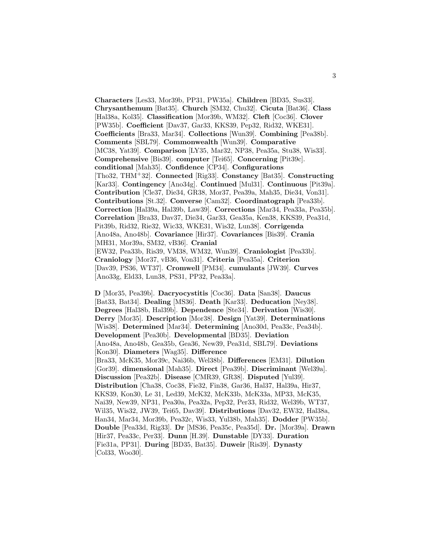**Characters** [Les33, Mor39b, PP31, PW35a]. **Children** [BD35, Sus33]. **Chrysanthemum** [Bat35]. **Church** [SM32, Chu32]. **Cicuta** [Bat36]. **Class** [Hal38a, Kol35]. **Classification** [Mor39b, WM32]. **Cleft** [Coc36]. **Clover** [PW35b]. **Coefficient** [Dav37, Gar33, KKS39, Pep32, Rid32, WKE31]. **Coefficients** [Bra33, Mar34]. **Collections** [Wun39]. **Combining** [Pea38b]. **Comments** [SBL79]. **Commonwealth** [Wun39]. **Comparative** [MC38, Yat39]. **Comparison** [LY35, Mar32, NP38, Pea35a, Stu38, Wis33]. **Comprehensive** [Bis39]. **computer** [Tei65]. **Concerning** [Pit39c]. **conditional** [Mah35]. **Confidence** [CP34]. **Configurations** [Tho32, THM<sup>+</sup>32]. **Connected** [Rig33]. **Constancy** [Bat35]. **Constructing** [Kar33]. **Contingency** [Ano34g]. **Continued** [Mul31]. **Continuous** [Pit39a]. **Contribution** [Cle37, Die34, GR38, Mor37, Pea39a, Mah35, Die34, Von31]. **Contributions** [St.32]. **Converse** [Cam32]. **Coordinatograph** [Pea33b]. **Correction** [Hal39a, Hal39b, Law39]. **Corrections** [Mar34, Pea33a, Pea35b]. **Correlation** [Bra33, Dav37, Die34, Gar33, Gea35a, Ken38, KKS39, Pea31d, Pit39b, Rid32, Rie32, Wic33, WKE31, Wis32, Lun38]. **Corrigenda** [Ano48a, Ano48b]. **Covariance** [Hir37]. **Covariances** [Bis39]. **Crania** [MH31, Mor39a, SM32, vB36]. **Cranial** [EW32, Pea33b, Ris39, VM38, WM32, Wun39]. **Craniologist** [Pea33b]. **Craniology** [Mor37, vB36, Von31]. **Criteria** [Pea35a]. **Criterion** [Dav39, PS36, WT37]. **Cromwell** [PM34]. **cumulants** [JW39]. **Curves** [Ano33g, Eld33, Lun38, PS31, PP32, Pea33a].

**D** [Mor35, Pea39b]. **Dacryocystitis** [Coc36]. **Data** [San38]. **Daucus** [Bat33, Bat34]. **Dealing** [MS36]. **Death** [Kar33]. **Deducation** [Ney38]. **Degrees** [Hal38b, Hal39b]. **Dependence** [Ste34]. **Derivation** [Wis30]. **Derry** [Mor35]. **Description** [Mor38]. **Design** [Yat39]. **Determinations** [Wis38]. **Determined** [Mar34]. **Determining** [Ano30d, Pea33c, Pea34b]. **Development** [Pea30b]. **Developmental** [BD35]. **Deviation** [Ano48a, Ano48b, Gea35b, Gea36, New39, Pea31d, SBL79]. **Deviations** [Kon30]. **Diameters** [Wag35]. **Difference** [Bra33, McK35, Mor39c, Nai36b, Wel38b]. **Differences** [EM31]. **Dilution** [Gor39]. **dimensional** [Mah35]. **Direct** [Pea39b]. **Discriminant** [Wel39a]. **Discussion** [Pea32b]. **Disease** [CMR39, GR38]. **Disputed** [Yul39]. **Distribution** [Cha38, Coc38, Fie32, Fin38, Gar36, Hal37, Hal39a, Hir37, KKS39, Kon30, Le 31, Led39, McK32, McK33b, McK33a, MP33, McK35, Nai39, New39, NP31, Pea30a, Pea32a, Pep32, Per33, Rid32, Wel39b, WT37, Wil35, Wis32, JW39, Tei65, Dav39]. **Distributions** [Dav32, EW32, Hal38a, Han34, Mar34, Mor39b, Pea32c, Wis33, Yul38b, Mah35]. **Dodder** [PW35b]. **Double** [Pea33d, Rig33]. **Dr** [MS36, Pea35c, Pea35d]. **Dr.** [Mor39a]. **Drawn** [Hir37, Pea33c, Per33]. **Dunn** [H.39]. **Dunstable** [DY33]. **Duration** [Fie31a, PP31]. **During** [BD35, Bat35]. **Duweir** [Ris39]. **Dynasty** [Col33, Woo30].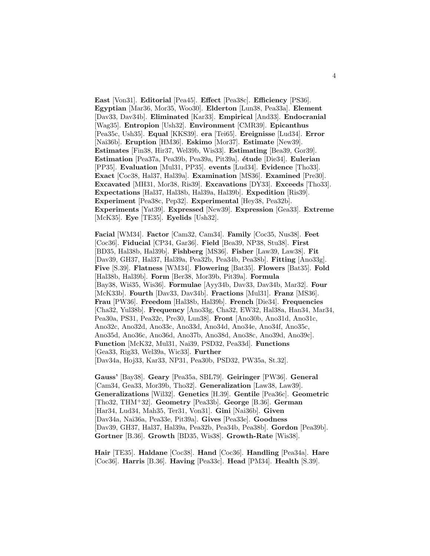**East** [Von31]. **Editorial** [Pea45]. **Effect** [Pea38c]. **Efficiency** [PS36]. **Egyptian** [Mar36, Mor35, Woo30]. **Elderton** [Lun38, Pea33a]. **Element** [Dav33, Dav34b]. **Eliminated** [Kar33]. **Empirical** [And33]. **Endocranial** [Wag35]. **Entropion** [Ush32]. **Environment** [CMR39]. **Epicanthus** [Pea35c, Ush35]. **Equal** [KKS39]. **era** [Tei65]. **Ereignisse** [Lud34]. **Error** [Nai36b]. **Eruption** [HM36]. **Eskimo** [Mor37]. **Estimate** [New39]. **Estimates** [Fin38, Hir37, Wel39b, Wis33]. **Estimating** [Bea39, Gor39]. **Estimation** [Pea37a, Pea39b, Pea39a, Pit39a]. **´etude** [Die34]. **Eulerian** [PP35]. **Evaluation** [Mul31, PP35]. **events** [Lud34]. **Evidence** [Tho33]. **Exact** [Coc38, Hal37, Hal39a]. **Examination** [MS36]. **Examined** [Pre30]. **Excavated** [MH31, Mor38, Ris39]. **Excavations** [DY33]. **Exceeds** [Tho33]. **Expectations** [Hal37, Hal38b, Hal39a, Hal39b]. **Expedition** [Ris39]. **Experiment** [Pea38c, Pep32]. **Experimental** [Hey38, Pea32b]. **Experiments** [Yat39]. **Expressed** [New39]. **Expression** [Gea33]. **Extreme** [McK35]. **Eye** [TE35]. **Eyelids** [Ush32].

**Facial** [WM34]. **Factor** [Cam32, Cam34]. **Family** [Coc35, Nus38]. **Feet** [Coc36]. **Fiducial** [CP34, Gar36]. **Field** [Bea39, NP38, Stu38]. **First** [BD35, Hal38b, Hal39b]. **Fishberg** [MS36]. **Fisher** [Law39, Law38]. **Fit** [Dav39, GH37, Hal37, Hal39a, Pea32b, Pea34b, Pea38b]. **Fitting** [Ano33g]. **Five** [S.39]. **Flatness** [WM34]. **Flowering** [Bat35]. **Flowers** [Bat35]. **Fold** [Hal38b, Hal39b]. **Form** [Ber38, Mor39b, Pit39a]. **Formula** [Bay38, Wi´s35, Wis36]. **Formulae** [Ayy34b, Dav33, Dav34b, Mar32]. **Four** [McK33b]. **Fourth** [Dav33, Dav34b]. **Fractions** [Mul31]. **Franz** [MS36]. **Frau** [PW36]. **Freedom** [Hal38b, Hal39b]. **French** [Die34]. **Frequencies** [Cha32, Yul38b]. **Frequency** [Ano33g, Cha32, EW32, Hal38a, Han34, Mar34, Pea30a, PS31, Pea32c, Pre30, Lun38]. **Front** [Ano30b, Ano31d, Ano31c, Ano32c, Ano32d, Ano33c, Ano33d, Ano34d, Ano34e, Ano34f, Ano35c, Ano35d, Ano36c, Ano36d, Ano37b, Ano38d, Ano38c, Ano39d, Ano39c]. **Function** [McK32, Mul31, Nai39, PSD32, Pea33d]. **Functions** [Gea33, Rig33, Wel39a, Wic33]. **Further** [Dav34a, Hoj33, Kar33, NP31, Pea30b, PSD32, PW35a, St.32].

**Gauss'** [Bay38]. **Geary** [Pea35a, SBL79]. **Geiringer** [PW36]. **General** [Cam34, Gea33, Mor39b, Tho32]. **Generalization** [Law38, Law39]. **Generalizations** [Wil32]. **Genetics** [H.39]. **Gentile** [Pea36c]. **Geometric** [Tho32, THM<sup>+</sup>32]. **Geometry** [Pea33b]. **George** [B.36]. **German** [Har34, Lud34, Mah35, Ter31, Von31]. **Gini** [Nai36b]. **Given** [Dav34a, Nai36a, Pea33e, Pit39a]. **Gives** [Pea33e]. **Goodness** [Dav39, GH37, Hal37, Hal39a, Pea32b, Pea34b, Pea38b]. **Gordon** [Pea39b]. **Gortner** [B.36]. **Growth** [BD35, Wis38]. **Growth-Rate** [Wis38].

**Hair** [TE35]. **Haldane** [Coc38]. **Hand** [Coc36]. **Handling** [Pea34a]. **Hare** [Coc36]. **Harris** [B.36]. **Having** [Pea33c]. **Head** [PM34]. **Health** [S.39].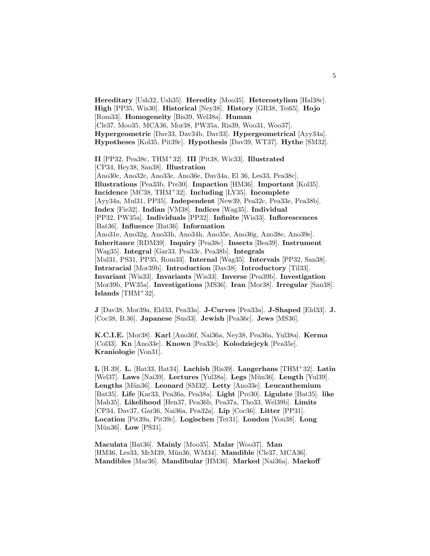**Hereditary** [Ush32, Ush35]. **Heredity** [Moo35]. **Heterostylism** [Hal38c]. **High** [PP35, Wis30]. **Historical** [Ney38]. **History** [GR38, Tei65]. **Hojo** [Rom33]. **Homogeneity** [Bis39, Wel38a]. **Human** [Cle37, Moo35, MCA36, Mor38, PW35a, Ris39, Woo31, Woo37]. **Hypergeometric** [Dav33, Dav34b, Dav33]. **Hypergeometrical** [Ayy34a]. **Hypotheses** [Kol35, Pit39c]. **Hypothesis** [Dav39, WT37]. **Hythe** [SM32]. **II** [PP32, Pea38c, THM<sup>+</sup>32]. **III** [Pit38, Wic33]. **Illustrated** [CP34, Hey38, San38]. **Illustration** [Ano30c, Ano32e, Ano33e, Ano36e, Dav34a, El 36, Les33, Pea38c]. **Illustrations** [Pea33b, Pre30]. **Impaction** [HM36]. **Important** [Kol35]. **Incidence** [MC38, THM<sup>+</sup>32]. **Including** [LY35]. **Incomplete** [Ayy34a, Mul31, PP35]. **Independent** [New39, Pea32c, Pea33e, Pea38b]. **Index** [Fie32]. **Indian** [VM38]. **Indices** [Wag35]. **Individual** [PP32, PW35a]. **Individuals** [PP32]. **Infinite** [Wis33]. **Inflorescences** [Bat36]. **Influence** [Bat36]. **Information** [Ano31e, Ano32g, Ano33h, Ano34h, Ano35e, Ano36g, Ano38e, Ano39e]. **Inheritance** [RDM39]. **Inquiry** [Pea38c]. **Insects** [Bea39]. **Instrument** [Wag35]. **Integral** [Gar33, Pea33c, Pea38b]. **Integrals** [Mul31, PS31, PP35, Rom33]. **Internal** [Wag35]. **Intervals** [PP32, San38]. **Intraracial** [Mor39b]. **Introduction** [Dav38]. **Introductory** [Til33]. **Invariant** [Wis33]. **Invariants** [Wis33]. **Inverse** [Pea39b]. **Investigation** [Mor39b, PW35a]. **Investigations** [MS36]. **Iran** [Mor38]. **Irregular** [San38]. **Islands** [THM<sup>+</sup>32].

**J** [Dav38, Mor39a, Eld33, Pea33a]. **J-Curves** [Pea33a]. **J-Shaped** [Eld33]. **J.** [Coc38, B.36]. **Japanese** [Sus33]. **Jewish** [Pea36c]. **Jews** [MS36].

**K.C.I.E.** [Mor38]. **Karl** [Ano36f, Nai36a, Ney38, Pea36a, Yul38a]. **Kerma** [Col33]. **Kn** [Ano33e]. **Known** [Pea33c]. **Kolodziejcyk** [Pea35e]. **Kraniologie** [Von31].

**L** [H.39]. **L.** [Bat33, Bat34]. **Lachish** [Ris39]. **Langerhans** [THM<sup>+</sup>32]. **Latin** [Wel37]. **Laws** [Nai39]. **Lectures** [Yul38a]. **Legs** [M¨un36]. **Length** [Yul39]. **Lengths** [M¨un36]. **Leonard** [SM32]. **Letty** [Ano33e]. **Leucanthemium** [Bat35]. **Life** [Kar33, Pea36a, Pea38a]. **Light** [Pre30]. **Ligulate** [Bat35]. **like** [Mah35]. **Likelihood** [Hen37, Pea36b, Pea37a, Tho33, Wel39b]. **Limits** [CP34, Dav37, Gar36, Nai36a, Pea32a]. **Lip** [Coc36]. **Litter** [PP31]. **Location** [Pit39a, Pit39c]. **Logischen** [Ter31]. **London** [You38]. **Long** [Mün36]. **Low** [PS31].

**Maculata** [Bat36]. **Mainly** [Moo35]. **Malar** [Woo37]. **Man** [HM36, Les33, McM39, Mün36, WM34]. **Mandible** [Cle37, MCA36]. **Mandibles** [Mar36]. **Mandibular** [HM36]. **Marked** [Nai36a]. **Markoff**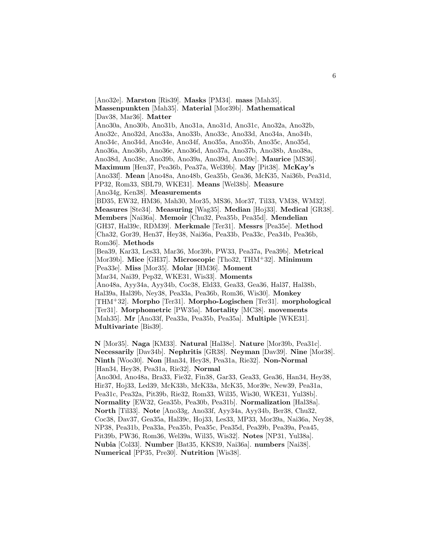[Ano32e]. **Marston** [Ris39]. **Masks** [PM34]. **mass** [Mah35]. **Massenpunkten** [Mah35]. **Material** [Mor39b]. **Mathematical** [Dav38, Mar36]. **Matter** [Ano30a, Ano30b, Ano31b, Ano31a, Ano31d, Ano31c, Ano32a, Ano32b, Ano32c, Ano32d, Ano33a, Ano33b, Ano33c, Ano33d, Ano34a, Ano34b, Ano34c, Ano34d, Ano34e, Ano34f, Ano35a, Ano35b, Ano35c, Ano35d, Ano36a, Ano36b, Ano36c, Ano36d, Ano37a, Ano37b, Ano38b, Ano38a, Ano38d, Ano38c, Ano39b, Ano39a, Ano39d, Ano39c]. **Maurice** [MS36]. **Maximum** [Hen37, Pea36b, Pea37a, Wel39b]. **May** [Pit38]. **McKay's** [Ano33f]. **Mean** [Ano48a, Ano48b, Gea35b, Gea36, McK35, Nai36b, Pea31d, PP32, Rom33, SBL79, WKE31]. **Means** [Wel38b]. **Measure** [Ano34g, Ken38]. **Measurements** [BD35, EW32, HM36, Mah30, Mor35, MS36, Mor37, Til33, VM38, WM32]. **Measures** [Ste34]. **Measuring** [Wag35]. **Median** [Hoj33]. **Medical** [GR38]. **Members** [Nai36a]. **Memoir** [Chu32, Pea35b, Pea35d]. **Mendelian** [GH37, Hal39c, RDM39]. **Merkmale** [Ter31]. **Messrs** [Pea35e]. **Method** [Cha32, Gor39, Hen37, Hey38, Nai36a, Pea33b, Pea33c, Pea34b, Pea36b, Rom36]. **Methods** [Bea39, Kar33, Les33, Mar36, Mor39b, PW33, Pea37a, Pea39b]. **Metrical** [Mor39b]. **Mice** [GH37]. **Microscopic** [Tho32, THM<sup>+</sup>32]. **Minimum** [Pea33e]. **Miss** [Mor35]. **Molar** [HM36]. **Moment** [Mar34, Nai39, Pep32, WKE31, Wis33]. **Moments** [Ano48a, Ayy34a, Ayy34b, Coc38, Eld33, Gea33, Gea36, Hal37, Hal38b, Hal39a, Hal39b, Ney38, Pea33a, Pea36b, Rom36, Wis30]. **Monkey** [THM<sup>+</sup>32]. **Morpho** [Ter31]. **Morpho-Logischen** [Ter31]. **morphological** [Ter31]. **Morphometric** [PW35a]. **Mortality** [MC38]. **movements** [Mah35]. **Mr** [Ano33f, Pea33a, Pea35b, Pea35a]. **Multiple** [WKE31]. **Multivariate** [Bis39].

**N** [Mor35]. **Naga** [KM33]. **Natural** [Hal38c]. **Nature** [Mor39b, Pea31c]. **Necessarily** [Dav34b]. **Nephritis** [GR38]. **Neyman** [Dav39]. **Nine** [Mor38]. **Ninth** [Woo30]. **Non** [Han34, Hey38, Pea31a, Rie32]. **Non-Normal** [Han34, Hey38, Pea31a, Rie32]. **Normal** [Ano30d, Ano48a, Bra33, Fie32, Fin38, Gar33, Gea33, Gea36, Han34, Hey38, Hir37, Hoj33, Led39, McK33b, McK33a, McK35, Mor39c, New39, Pea31a, Pea31c, Pea32a, Pit39b, Rie32, Rom33, Wil35, Wis30, WKE31, Yul38b]. **Normality** [EW32, Gea35b, Pea30b, Pea31b]. **Normalization** [Hal38a]. **North** [Til33]. **Note** [Ano33g, Ano33f, Ayy34a, Ayy34b, Ber38, Chu32, Coc38, Dav37, Gea35a, Hal39c, Hoj33, Les33, MP33, Mor39a, Nai36a, Ney38, NP38, Pea31b, Pea33a, Pea35b, Pea35c, Pea35d, Pea39b, Pea39a, Pea45, Pit39b, PW36, Rom36, Wel39a, Wil35, Wis32]. **Notes** [NP31, Yul38a]. **Nubia** [Col33]. **Number** [Bat35, KKS39, Nai36a]. **numbers** [Nai38]. **Numerical** [PP35, Pre30]. **Nutrition** [Wis38].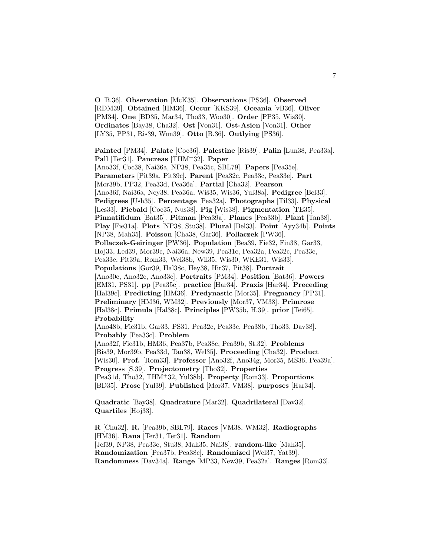**O** [B.36]. **Observation** [McK35]. **Observations** [PS36]. **Observed** [RDM39]. **Obtained** [HM36]. **Occur** [KKS39]. **Oceania** [vB36]. **Oliver** [PM34]. **One** [BD35, Mar34, Tho33, Woo30]. **Order** [PP35, Wis30]. **Ordinates** [Bay38, Cha32]. **Ost** [Von31]. **Ost-Asien** [Von31]. **Other** [LY35, PP31, Ris39, Wun39]. **Otto** [B.36]. **Outlying** [PS36].

**Painted** [PM34]. **Palate** [Coc36]. **Palestine** [Ris39]. **Palin** [Lun38, Pea33a]. **Pall** [Ter31]. **Pancreas** [THM<sup>+</sup>32]. **Paper** [Ano33f, Coc38, Nai36a, NP38, Pea35c, SBL79]. **Papers** [Pea35e]. **Parameters** [Pit39a, Pit39c]. **Parent** [Pea32c, Pea33c, Pea33e]. **Part** [Mor39b, PP32, Pea33d, Pea36a]. **Partial** [Cha32]. **Pearson** [Ano36f, Nai36a, Ney38, Pea36a, Wis35, Wis36, Yul38a]. **Pedigree** [Bel33]. **Pedigrees** [Ush35]. **Percentage** [Pea32a]. **Photographs** [Til33]. **Physical** [Les33]. **Piebald** [Coc35, Nus38]. **Pig** [Wis38]. **Pigmentation** [TE35]. **Pinnatifidum** [Bat35]. **Pitman** [Pea39a]. **Planes** [Pea33b]. **Plant** [Tan38]. **Play** [Fie31a]. **Plots** [NP38, Stu38]. **Plural** [Bel33]. **Point** [Ayy34b]. **Points** [NP38, Mah35]. **Poisson** [Cha38, Gar36]. **Pollaczek** [PW36]. **Pollaczek-Geiringer** [PW36]. **Population** [Bea39, Fie32, Fin38, Gar33, Hoj33, Led39, Mor39c, Nai36a, New39, Pea31c, Pea32a, Pea32c, Pea33c, Pea33e, Pit39a, Rom33, Wel38b, Wil35, Wis30, WKE31, Wis33]. **Populations** [Gor39, Hal38c, Hey38, Hir37, Pit38]. **Portrait** [Ano30c, Ano32e, Ano33e]. **Portraits** [PM34]. **Position** [Bat36]. **Powers** [EM31, PS31]. **pp** [Pea35c]. **practice** [Har34]. **Praxis** [Har34]. **Preceding** [Hal39c]. **Predicting** [HM36]. **Predynastic** [Mor35]. **Pregnancy** [PP31]. **Preliminary** [HM36, WM32]. **Previously** [Mor37, VM38]. **Primrose** [Hal38c]. **Primula** [Hal38c]. **Principles** [PW35b, H.39]. **prior** [Tei65]. **Probability** [Ano48b, Fie31b, Gar33, PS31, Pea32c, Pea33c, Pea38b, Tho33, Dav38]. **Probably** [Pea33c]. **Problem** [Ano32f, Fie31b, HM36, Pea37b, Pea38c, Pea39b, St.32]. **Problems** [Bis39, Mor39b, Pea33d, Tan38, Wel35]. **Proceeding** [Cha32]. **Product**

[Wis30]. **Prof.** [Rom33]. **Professor** [Ano32f, Ano34g, Mor35, MS36, Pea39a]. **Progress** [S.39]. **Projectometry** [Tho32]. **Properties** [Pea31d, Tho32, THM<sup>+</sup>32, Yul38b]. **Property** [Rom33]. **Proportions** [BD35]. **Prose** [Yul39]. **Published** [Mor37, VM38]. **purposes** [Har34].

**Quadratic** [Bay38]. **Quadrature** [Mar32]. **Quadrilateral** [Dav32]. **Quartiles** [Hoj33].

**R** [Chu32]. **R.** [Pea39b, SBL79]. **Races** [VM38, WM32]. **Radiographs** [HM36]. **Rana** [Ter31, Ter31]. **Random** [Jef39, NP38, Pea33c, Stu38, Mah35, Nai38]. **random-like** [Mah35]. **Randomization** [Pea37b, Pea38c]. **Randomized** [Wel37, Yat39]. **Randomness** [Dav34a]. **Range** [MP33, New39, Pea32a]. **Ranges** [Rom33].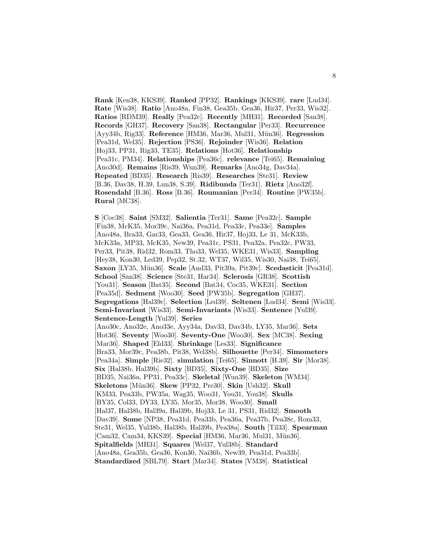**Rank** [Ken38, KKS39]. **Ranked** [PP32]. **Rankings** [KKS39]. **rare** [Lud34]. **Rate** [Wis38]. **Ratio** [Ano48a, Fin38, Gea35b, Gea36, Hir37, Per33, Wis32]. **Ratios** [RDM39]. **Really** [Pea32c]. **Recently** [MH31]. **Recorded** [San38]. **Records** [GH37]. **Recovery** [San38]. **Rectangular** [Per33]. **Recurrence** [Ayy34b, Rig33]. **Reference** [HM36, Mar36, Mul31, M¨un36]. **Regression** [Pea31d, Wel35]. **Rejection** [PS36]. **Rejoinder** [Wis36]. **Relation** [Hoj33, PP31, Rig33, TE35]. **Relations** [Hot36]. **Relationship** [Pea31c, PM34]. **Relationships** [Pea36c]. **relevance** [Tei65]. **Remaining** [Ano30d]. **Remains** [Ris39, Wun39]. **Remarks** [Ano34g, Dav34a]. **Repeated** [BD35]. **Research** [Ris39]. **Researches** [Ste31]. **Review** [B.36, Dav38, H.39, Lun38, S.39]. **Ridibunda** [Ter31]. **Rietz** [Ano32f]. **Rosendahl** [B.36]. **Ross** [B.36]. **Roumanian** [Per34]. **Routine** [PW35b]. **Rural** [MC38].

**S** [Coc38]. **Saint** [SM32]. **Salientia** [Ter31]. **Same** [Pea32c]. **Sample** [Fin38, McK35, Mor39c, Nai36a, Pea31d, Pea33c, Pea33e]. **Samples** [Ano48a, Bra33, Gar33, Gea33, Gea36, Hir37, Hoj33, Le 31, McK33b, McK33a, MP33, McK35, New39, Pea31c, PS31, Pea32a, Pea32c, PW33, Per33, Pit38, Rid32, Rom33, Tho33, Wel35, WKE31, Wis33]. **Sampling** [Hey38, Kon30, Led39, Pep32, St.32, WT37, Wil35, Wis30, Nai38, Tei65]. **Saxon** [LY35, Mün36]. **Scale** [And33, Pit39a, Pit39c]. **Scedasticit** [Pea31d]. **School** [San38]. **Science** [Ste31, Har34]. **Sclerosis** [GR38]. **Scottish** [You31]. **Season** [Bat35]. **Second** [Bat34, Coc35, WKE31]. **Section** [Pea35d]. **Sedment** [Woo30]. **Seed** [PW35b]. **Segregation** [GH37]. **Segregations** [Hal39c]. **Selection** [Led39]. **Seltenen** [Lud34]. **Semi** [Wis33]. **Semi-Invariant** [Wis33]. **Semi-Invariants** [Wis33]. **Sentence** [Yul39]. **Sentence-Length** [Yul39]. **Series** [Ano30c, Ano32e, Ano33e, Ayy34a, Dav33, Dav34b, LY35, Mar36]. **Sets** [Hot36]. **Seventy** [Woo30]. **Seventy-One** [Woo30]. **Sex** [MC38]. **Sexing** [Mar36]. **Shaped** [Eld33]. **Shrinkage** [Les33]. **Significance** [Bra33, Mor39c, Pea38b, Pit38, Wel38b]. **Silhouette** [Per34]. **Simometers** [Pea34a]. **Simple** [Rie32]. **simulation** [Tei65]. **Sinnott** [H.39]. **Sir** [Mor38]. **Six** [Hal38b, Hal39b]. **Sixty** [BD35]. **Sixty-One** [BD35]. **Size** [BD35, Nai36a, PP31, Pea33c]. **Skeletal** [Wun39]. **Skeleton** [WM34]. **Skeletons** [M¨un36]. **Skew** [PP32, Pre30]. **Skin** [Ush32]. **Skull** [KM33, Pea33b, PW35a, Wag35, Woo31, You31, You38]. **Skulls** [BY35, Col33, DY33, LY35, Mor35, Mor38, Woo30]. **Small** [Hal37, Hal38b, Hal39a, Hal39b, Hoj33, Le 31, PS31, Rid32]. **Smooth** [Dav39]. **Some** [NP38, Pea31d, Pea33b, Pea36a, Pea37b, Pea38c, Rom33, Ste31, Wel35, Yul38b, Hal38b, Hal39b, Pea38a]. **South** [Til33]. **Spearman** [Cam32, Cam34, KKS39]. **Special** [HM36, Mar36, Mul31, Mün36]. **Spitalfields** [MH31]. **Squares** [Wel37, Yul38b]. **Standard** [Ano48a, Gea35b, Gea36, Kon30, Nai36b, New39, Pea31d, Pea33b]. **Standardized** [SBL79]. **Start** [Mar34]. **States** [VM38]. **Statistical**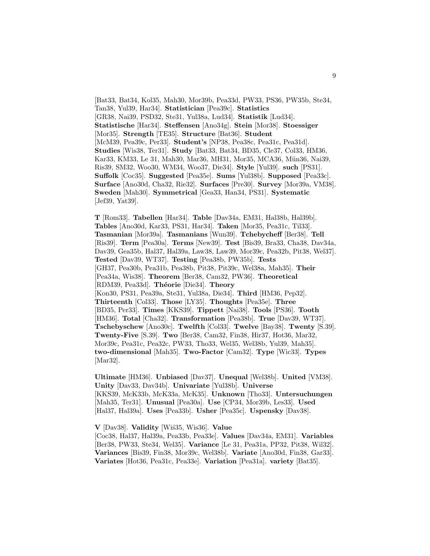[Bat33, Bat34, Kol35, Mah30, Mor39b, Pea33d, PW33, PS36, PW35b, Ste34, Tan38, Yul39, Har34]. **Statistician** [Pea39c]. **Statistics** [GR38, Nai39, PSD32, Ste31, Yul38a, Lud34]. **Statistik** [Lud34]. **Statistische** [Har34]. **Steffensen** [Ano34g]. **Stein** [Mor38]. **Stoessiger** [Mor35]. **Strength** [TE35]. **Structure** [Bat36]. **Student** [McM39, Pea39c, Per33]. **Student's** [NP38, Pea38c, Pea31c, Pea31d]. **Studies** [Wis38, Ter31]. **Study** [Bat33, Bat34, BD35, Cle37, Col33, HM36, Kar33, KM33, Le 31, Mah30, Mar36, MH31, Mor35, MCA36, Mün36, Nai39, Ris39, SM32, Woo30, WM34, Woo37, Die34]. **Style** [Yul39]. **such** [PS31]. **Suffolk** [Coc35]. **Suggested** [Pea35e]. **Sums** [Yul38b]. **Supposed** [Pea33c]. **Surface** [Ano30d, Cha32, Rie32]. **Surfaces** [Pre30]. **Survey** [Mor39a, VM38]. **Sweden** [Mah30]. **Symmetrical** [Gea33, Han34, PS31]. **Systematic** [Jef39, Yat39].

**T** [Rom33]. **Tabellen** [Har34]. **Table** [Dav34a, EM31, Hal38b, Hal39b]. **Tables** [Ano30d, Kar33, PS31, Har34]. **Taken** [Mor35, Pea31c, Til33]. **Tasmanian** [Mor39a]. **Tasmanians** [Wun39]. **Tchebycheff** [Ber38]. **Tell** [Ris39]. **Term** [Pea30a]. **Terms** [New39]. **Test** [Bis39, Bra33, Cha38, Dav34a, Dav39, Gea35b, Hal37, Hal39a, Law38, Law39, Mor39c, Pea32b, Pit38, Wel37]. **Tested** [Dav39, WT37]. **Testing** [Pea38b, PW35b]. **Tests** [GH37, Pea30b, Pea31b, Pea38b, Pit38, Pit39c, Wel38a, Mah35]. **Their** [Pea34a, Wis38]. **Theorem** [Ber38, Cam32, PW36]. **Theoretical** [RDM39, Pea33d]. **Théorie** [Die34]. **Theory** [Kon30, PS31, Pea39a, Ste31, Yul38a, Die34]. **Third** [HM36, Pep32]. **Thirteenth** [Col33]. **Those** [LY35]. **Thoughts** [Pea35e]. **Three** [BD35, Per33]. **Times** [KKS39]. **Tippett** [Nai38]. **Tools** [PS36]. **Tooth** [HM36]. **Total** [Cha32]. **Transformation** [Pea38b]. **True** [Dav39, WT37]. **Tschebyschew** [Ano30c]. **Twelfth** [Col33]. **Twelve** [Bay38]. **Twenty** [S.39]. **Twenty-Five** [S.39]. **Two** [Ber38, Cam32, Fin38, Hir37, Hot36, Mar32, Mor39c, Pea31c, Pea32c, PW33, Tho33, Wel35, Wel38b, Yul39, Mah35]. **two-dimensional** [Mah35]. **Two-Factor** [Cam32]. **Type** [Wic33]. **Types** [Mar32].

**Ultimate** [HM36]. **Unbiased** [Dav37]. **Unequal** [Wel38b]. **United** [VM38]. **Unity** [Dav33, Dav34b]. **Univariate** [Yul38b]. **Universe** [KKS39, McK33b, McK33a, McK35]. **Unknown** [Tho33]. **Untersuchungen** [Mah35, Ter31]. **Unusual** [Pea30a]. **Use** [CP34, Mor39b, Les33]. **Used** [Hal37, Hal39a]. **Uses** [Pea33b]. **Usher** [Pea35c]. **Uspensky** [Dav38].

**V** [Dav38]. **Validity** [Wi´s35, Wis36]. **Value**

[Coc38, Hal37, Hal39a, Pea33b, Pea33e]. **Values** [Dav34a, EM31]. **Variables** [Ber38, PW33, Ste34, Wel35]. **Variance** [Le 31, Pea31a, PP32, Pit38, Wil32]. **Variances** [Bis39, Fin38, Mor39c, Wel38b]. **Variate** [Ano30d, Fin38, Gar33]. **Variates** [Hot36, Pea31c, Pea33e]. **Variation** [Pea31a]. **variety** [Bat35].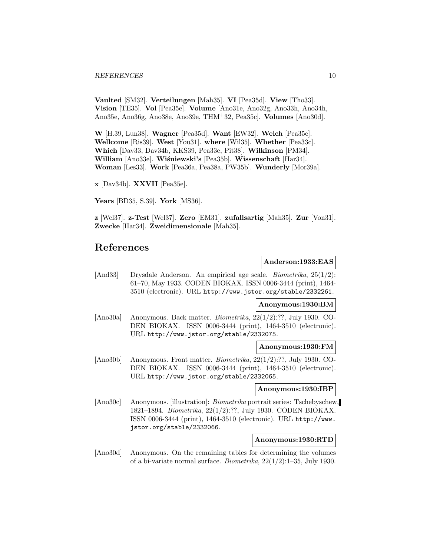**Vaulted** [SM32]. **Verteilungen** [Mah35]. **VI** [Pea35d]. **View** [Tho33]. **Vision** [TE35]. **Vol** [Pea35e]. **Volume** [Ano31e, Ano32g, Ano33h, Ano34h, Ano35e, Ano36g, Ano38e, Ano39e, THM<sup>+</sup>32, Pea35c]. **Volumes** [Ano30d].

**W** [H.39, Lun38]. **Wagner** [Pea35d]. **Want** [EW32]. **Welch** [Pea35e]. **Wellcome** [Ris39]. **West** [You31]. **where** [Wil35]. **Whether** [Pea33c]. **Which** [Dav33, Dav34b, KKS39, Pea33e, Pit38]. **Wilkinson** [PM34]. **William** [Ano33e]. **Wiśniewski's** [Pea35b]. **Wissenschaft** [Har34]. **Woman** [Les33]. **Work** [Pea36a, Pea38a, PW35b]. **Wunderly** [Mor39a].

**x** [Dav34b]. **XXVII** [Pea35e].

**Years** [BD35, S.39]. **York** [MS36].

**z** [Wel37]. **z-Test** [Wel37]. **Zero** [EM31]. **zufallsartig** [Mah35]. **Zur** [Von31]. **Zwecke** [Har34]. **Zweidimensionale** [Mah35].

# **References**

# **Anderson:1933:EAS**

[And33] Drysdale Anderson. An empirical age scale. Biometrika, 25(1/2): 61–70, May 1933. CODEN BIOKAX. ISSN 0006-3444 (print), 1464- 3510 (electronic). URL http://www.jstor.org/stable/2332261.

# **Anonymous:1930:BM**

[Ano30a] Anonymous. Back matter. Biometrika, 22(1/2):??, July 1930. CO-DEN BIOKAX. ISSN 0006-3444 (print), 1464-3510 (electronic). URL http://www.jstor.org/stable/2332075.

# **Anonymous:1930:FM**

[Ano30b] Anonymous. Front matter. Biometrika, 22(1/2):??, July 1930. CO-DEN BIOKAX. ISSN 0006-3444 (print), 1464-3510 (electronic). URL http://www.jstor.org/stable/2332065.

#### **Anonymous:1930:IBP**

[Ano30c] Anonymous. [illustration]: Biometrika portrait series: Tschebyschew, 1821–1894. Biometrika, 22(1/2):??, July 1930. CODEN BIOKAX. ISSN 0006-3444 (print), 1464-3510 (electronic). URL http://www. jstor.org/stable/2332066.

# **Anonymous:1930:RTD**

[Ano30d] Anonymous. On the remaining tables for determining the volumes of a bi-variate normal surface. Biometrika, 22(1/2):1–35, July 1930.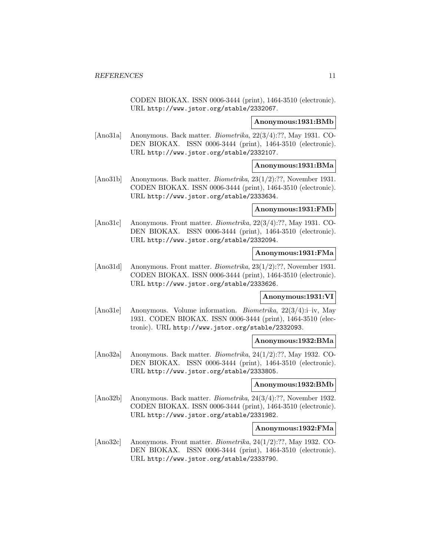CODEN BIOKAX. ISSN 0006-3444 (print), 1464-3510 (electronic). URL http://www.jstor.org/stable/2332067.

#### **Anonymous:1931:BMb**

[Ano31a] Anonymous. Back matter. Biometrika, 22(3/4):??, May 1931. CO-DEN BIOKAX. ISSN 0006-3444 (print), 1464-3510 (electronic). URL http://www.jstor.org/stable/2332107.

### **Anonymous:1931:BMa**

[Ano31b] Anonymous. Back matter. Biometrika, 23(1/2):??, November 1931. CODEN BIOKAX. ISSN 0006-3444 (print), 1464-3510 (electronic). URL http://www.jstor.org/stable/2333634.

# **Anonymous:1931:FMb**

[Ano31c] Anonymous. Front matter. Biometrika, 22(3/4):??, May 1931. CO-DEN BIOKAX. ISSN 0006-3444 (print), 1464-3510 (electronic). URL http://www.jstor.org/stable/2332094.

# **Anonymous:1931:FMa**

[Ano31d] Anonymous. Front matter. Biometrika, 23(1/2):??, November 1931. CODEN BIOKAX. ISSN 0006-3444 (print), 1464-3510 (electronic). URL http://www.jstor.org/stable/2333626.

# **Anonymous:1931:VI**

[Ano31e] Anonymous. Volume information. Biometrika, 22(3/4):i–iv, May 1931. CODEN BIOKAX. ISSN 0006-3444 (print), 1464-3510 (electronic). URL http://www.jstor.org/stable/2332093.

#### **Anonymous:1932:BMa**

[Ano32a] Anonymous. Back matter. Biometrika, 24(1/2):??, May 1932. CO-DEN BIOKAX. ISSN 0006-3444 (print), 1464-3510 (electronic). URL http://www.jstor.org/stable/2333805.

### **Anonymous:1932:BMb**

[Ano32b] Anonymous. Back matter. Biometrika, 24(3/4):??, November 1932. CODEN BIOKAX. ISSN 0006-3444 (print), 1464-3510 (electronic). URL http://www.jstor.org/stable/2331982.

### **Anonymous:1932:FMa**

[Ano32c] Anonymous. Front matter. Biometrika, 24(1/2):??, May 1932. CO-DEN BIOKAX. ISSN 0006-3444 (print), 1464-3510 (electronic). URL http://www.jstor.org/stable/2333790.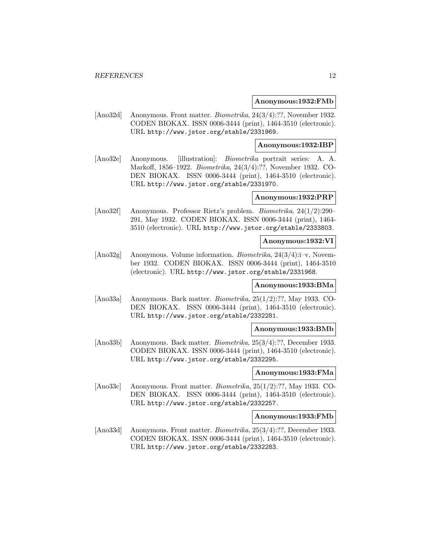#### **Anonymous:1932:FMb**

[Ano32d] Anonymous. Front matter. Biometrika, 24(3/4):??, November 1932. CODEN BIOKAX. ISSN 0006-3444 (print), 1464-3510 (electronic). URL http://www.jstor.org/stable/2331969.

#### **Anonymous:1932:IBP**

[Ano32e] Anonymous. [illustration]: Biometrika portrait series: A. A. Markoff, 1856–1922. Biometrika, 24(3/4):??, November 1932. CO-DEN BIOKAX. ISSN 0006-3444 (print), 1464-3510 (electronic). URL http://www.jstor.org/stable/2331970.

# **Anonymous:1932:PRP**

[Ano32f] Anonymous. Professor Rietz's problem. Biometrika, 24(1/2):290– 291, May 1932. CODEN BIOKAX. ISSN 0006-3444 (print), 1464- 3510 (electronic). URL http://www.jstor.org/stable/2333803.

#### **Anonymous:1932:VI**

[Ano32g] Anonymous. Volume information. Biometrika, 24(3/4):i–v, November 1932. CODEN BIOKAX. ISSN 0006-3444 (print), 1464-3510 (electronic). URL http://www.jstor.org/stable/2331968.

#### **Anonymous:1933:BMa**

[Ano33a] Anonymous. Back matter. Biometrika, 25(1/2):??, May 1933. CO-DEN BIOKAX. ISSN 0006-3444 (print), 1464-3510 (electronic). URL http://www.jstor.org/stable/2332281.

#### **Anonymous:1933:BMb**

[Ano33b] Anonymous. Back matter. Biometrika, 25(3/4):??, December 1933. CODEN BIOKAX. ISSN 0006-3444 (print), 1464-3510 (electronic). URL http://www.jstor.org/stable/2332295.

# **Anonymous:1933:FMa**

[Ano33c] Anonymous. Front matter. Biometrika, 25(1/2):??, May 1933. CO-DEN BIOKAX. ISSN 0006-3444 (print), 1464-3510 (electronic). URL http://www.jstor.org/stable/2332257.

# **Anonymous:1933:FMb**

[Ano33d] Anonymous. Front matter. Biometrika, 25(3/4):??, December 1933. CODEN BIOKAX. ISSN 0006-3444 (print), 1464-3510 (electronic). URL http://www.jstor.org/stable/2332283.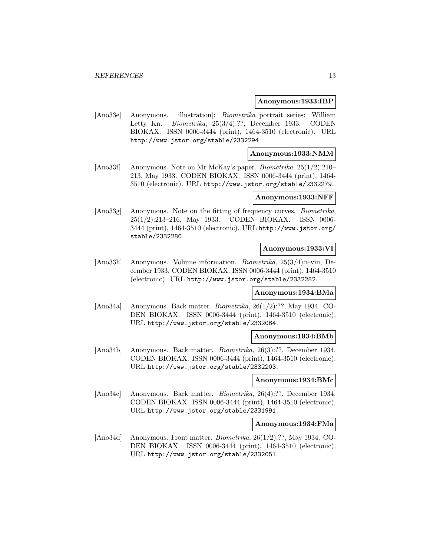#### **Anonymous:1933:IBP**

[Ano33e] Anonymous. [illustration]: Biometrika portrait series: William Letty Kn. Biometrika, 25(3/4):??, December 1933. CODEN BIOKAX. ISSN 0006-3444 (print), 1464-3510 (electronic). URL http://www.jstor.org/stable/2332294.

#### **Anonymous:1933:NMM**

[Ano33f] Anonymous. Note on Mr McKay's paper. Biometrika, 25(1/2):210– 213, May 1933. CODEN BIOKAX. ISSN 0006-3444 (print), 1464- 3510 (electronic). URL http://www.jstor.org/stable/2332279.

### **Anonymous:1933:NFF**

[Ano33g] Anonymous. Note on the fitting of frequency curves. *Biometrika*, 25(1/2):213–216, May 1933. CODEN BIOKAX. ISSN 0006- 3444 (print), 1464-3510 (electronic). URL http://www.jstor.org/ stable/2332280.

# **Anonymous:1933:VI**

[Ano33h] Anonymous. Volume information. Biometrika, 25(3/4):i–viii, December 1933. CODEN BIOKAX. ISSN 0006-3444 (print), 1464-3510 (electronic). URL http://www.jstor.org/stable/2332282.

#### **Anonymous:1934:BMa**

[Ano34a] Anonymous. Back matter. Biometrika, 26(1/2):??, May 1934. CO-DEN BIOKAX. ISSN 0006-3444 (print), 1464-3510 (electronic). URL http://www.jstor.org/stable/2332064.

#### **Anonymous:1934:BMb**

[Ano34b] Anonymous. Back matter. Biometrika, 26(3):??, December 1934. CODEN BIOKAX. ISSN 0006-3444 (print), 1464-3510 (electronic). URL http://www.jstor.org/stable/2332203.

#### **Anonymous:1934:BMc**

[Ano34c] Anonymous. Back matter. Biometrika, 26(4):??, December 1934. CODEN BIOKAX. ISSN 0006-3444 (print), 1464-3510 (electronic). URL http://www.jstor.org/stable/2331991.

#### **Anonymous:1934:FMa**

[Ano34d] Anonymous. Front matter. Biometrika, 26(1/2):??, May 1934. CO-DEN BIOKAX. ISSN 0006-3444 (print), 1464-3510 (electronic). URL http://www.jstor.org/stable/2332051.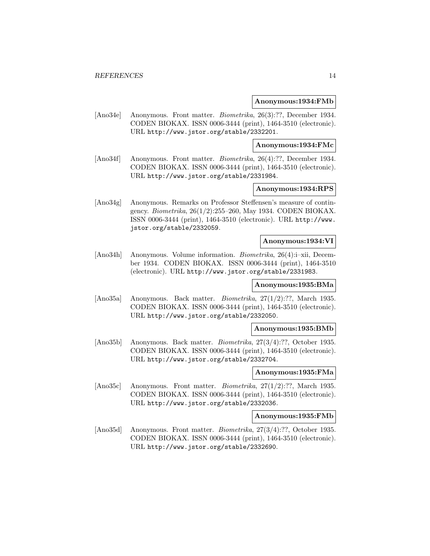#### **Anonymous:1934:FMb**

[Ano34e] Anonymous. Front matter. Biometrika, 26(3):??, December 1934. CODEN BIOKAX. ISSN 0006-3444 (print), 1464-3510 (electronic). URL http://www.jstor.org/stable/2332201.

**Anonymous:1934:FMc**

[Ano34f] Anonymous. Front matter. Biometrika, 26(4):??, December 1934. CODEN BIOKAX. ISSN 0006-3444 (print), 1464-3510 (electronic). URL http://www.jstor.org/stable/2331984.

### **Anonymous:1934:RPS**

[Ano34g] Anonymous. Remarks on Professor Steffensen's measure of contingency. Biometrika, 26(1/2):255–260, May 1934. CODEN BIOKAX. ISSN 0006-3444 (print), 1464-3510 (electronic). URL http://www. jstor.org/stable/2332059.

#### **Anonymous:1934:VI**

[Ano34h] Anonymous. Volume information. Biometrika, 26(4):i–xii, December 1934. CODEN BIOKAX. ISSN 0006-3444 (print), 1464-3510 (electronic). URL http://www.jstor.org/stable/2331983.

### **Anonymous:1935:BMa**

[Ano35a] Anonymous. Back matter. Biometrika, 27(1/2):??, March 1935. CODEN BIOKAX. ISSN 0006-3444 (print), 1464-3510 (electronic). URL http://www.jstor.org/stable/2332050.

#### **Anonymous:1935:BMb**

[Ano35b] Anonymous. Back matter. Biometrika, 27(3/4):??, October 1935. CODEN BIOKAX. ISSN 0006-3444 (print), 1464-3510 (electronic). URL http://www.jstor.org/stable/2332704.

### **Anonymous:1935:FMa**

[Ano35c] Anonymous. Front matter. Biometrika, 27(1/2):??, March 1935. CODEN BIOKAX. ISSN 0006-3444 (print), 1464-3510 (electronic). URL http://www.jstor.org/stable/2332036.

### **Anonymous:1935:FMb**

[Ano35d] Anonymous. Front matter. Biometrika, 27(3/4):??, October 1935. CODEN BIOKAX. ISSN 0006-3444 (print), 1464-3510 (electronic). URL http://www.jstor.org/stable/2332690.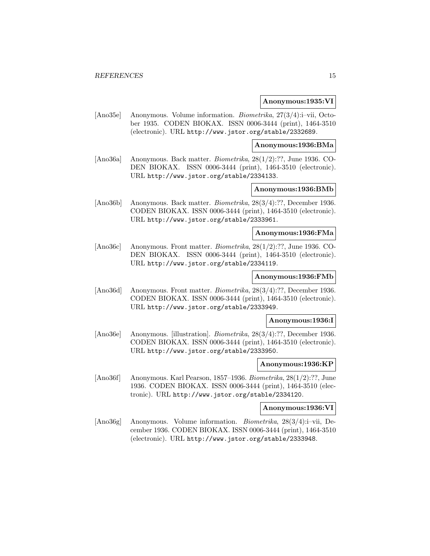#### **Anonymous:1935:VI**

[Ano35e] Anonymous. Volume information. Biometrika, 27(3/4):i–vii, October 1935. CODEN BIOKAX. ISSN 0006-3444 (print), 1464-3510 (electronic). URL http://www.jstor.org/stable/2332689.

**Anonymous:1936:BMa**

[Ano36a] Anonymous. Back matter. Biometrika, 28(1/2):??, June 1936. CO-DEN BIOKAX. ISSN 0006-3444 (print), 1464-3510 (electronic). URL http://www.jstor.org/stable/2334133.

### **Anonymous:1936:BMb**

[Ano36b] Anonymous. Back matter. Biometrika, 28(3/4):??, December 1936. CODEN BIOKAX. ISSN 0006-3444 (print), 1464-3510 (electronic). URL http://www.jstor.org/stable/2333961.

#### **Anonymous:1936:FMa**

[Ano36c] Anonymous. Front matter. Biometrika, 28(1/2):??, June 1936. CO-DEN BIOKAX. ISSN 0006-3444 (print), 1464-3510 (electronic). URL http://www.jstor.org/stable/2334119.

# **Anonymous:1936:FMb**

[Ano36d] Anonymous. Front matter. Biometrika, 28(3/4):??, December 1936. CODEN BIOKAX. ISSN 0006-3444 (print), 1464-3510 (electronic). URL http://www.jstor.org/stable/2333949.

#### **Anonymous:1936:I**

[Ano36e] Anonymous. [illustration]. Biometrika, 28(3/4):??, December 1936. CODEN BIOKAX. ISSN 0006-3444 (print), 1464-3510 (electronic). URL http://www.jstor.org/stable/2333950.

#### **Anonymous:1936:KP**

[Ano36f] Anonymous. Karl Pearson, 1857–1936. Biometrika, 28(1/2):??, June 1936. CODEN BIOKAX. ISSN 0006-3444 (print), 1464-3510 (electronic). URL http://www.jstor.org/stable/2334120.

#### **Anonymous:1936:VI**

[Ano36g] Anonymous. Volume information. Biometrika, 28(3/4):i–vii, December 1936. CODEN BIOKAX. ISSN 0006-3444 (print), 1464-3510 (electronic). URL http://www.jstor.org/stable/2333948.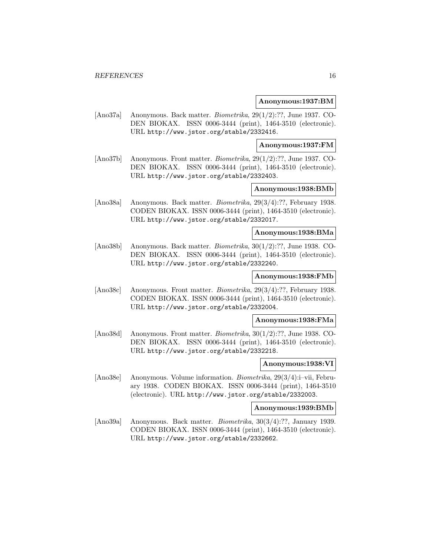#### **Anonymous:1937:BM**

[Ano37a] Anonymous. Back matter. Biometrika, 29(1/2):??, June 1937. CO-DEN BIOKAX. ISSN 0006-3444 (print), 1464-3510 (electronic). URL http://www.jstor.org/stable/2332416.

**Anonymous:1937:FM**

[Ano37b] Anonymous. Front matter. Biometrika, 29(1/2):??, June 1937. CO-DEN BIOKAX. ISSN 0006-3444 (print), 1464-3510 (electronic). URL http://www.jstor.org/stable/2332403.

### **Anonymous:1938:BMb**

[Ano38a] Anonymous. Back matter. Biometrika, 29(3/4):??, February 1938. CODEN BIOKAX. ISSN 0006-3444 (print), 1464-3510 (electronic). URL http://www.jstor.org/stable/2332017.

### **Anonymous:1938:BMa**

[Ano38b] Anonymous. Back matter. Biometrika, 30(1/2):??, June 1938. CO-DEN BIOKAX. ISSN 0006-3444 (print), 1464-3510 (electronic). URL http://www.jstor.org/stable/2332240.

### **Anonymous:1938:FMb**

[Ano38c] Anonymous. Front matter. Biometrika, 29(3/4):??, February 1938. CODEN BIOKAX. ISSN 0006-3444 (print), 1464-3510 (electronic). URL http://www.jstor.org/stable/2332004.

### **Anonymous:1938:FMa**

[Ano38d] Anonymous. Front matter. Biometrika, 30(1/2):??, June 1938. CO-DEN BIOKAX. ISSN 0006-3444 (print), 1464-3510 (electronic). URL http://www.jstor.org/stable/2332218.

#### **Anonymous:1938:VI**

[Ano38e] Anonymous. Volume information. Biometrika, 29(3/4):i–vii, February 1938. CODEN BIOKAX. ISSN 0006-3444 (print), 1464-3510 (electronic). URL http://www.jstor.org/stable/2332003.

#### **Anonymous:1939:BMb**

[Ano39a] Anonymous. Back matter. Biometrika, 30(3/4):??, January 1939. CODEN BIOKAX. ISSN 0006-3444 (print), 1464-3510 (electronic). URL http://www.jstor.org/stable/2332662.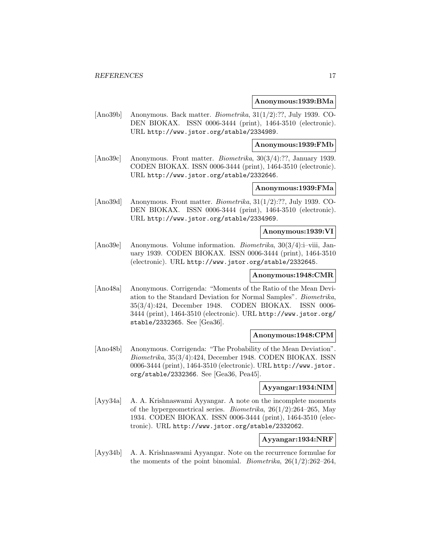#### **Anonymous:1939:BMa**

[Ano39b] Anonymous. Back matter. Biometrika, 31(1/2):??, July 1939. CO-DEN BIOKAX. ISSN 0006-3444 (print), 1464-3510 (electronic). URL http://www.jstor.org/stable/2334989.

#### **Anonymous:1939:FMb**

[Ano39c] Anonymous. Front matter. Biometrika, 30(3/4):??, January 1939. CODEN BIOKAX. ISSN 0006-3444 (print), 1464-3510 (electronic). URL http://www.jstor.org/stable/2332646.

# **Anonymous:1939:FMa**

[Ano39d] Anonymous. Front matter. *Biometrika*, 31(1/2):??, July 1939. CO-DEN BIOKAX. ISSN 0006-3444 (print), 1464-3510 (electronic). URL http://www.jstor.org/stable/2334969.

# **Anonymous:1939:VI**

[Ano39e] Anonymous. Volume information. Biometrika, 30(3/4):i–viii, January 1939. CODEN BIOKAX. ISSN 0006-3444 (print), 1464-3510 (electronic). URL http://www.jstor.org/stable/2332645.

#### **Anonymous:1948:CMR**

[Ano48a] Anonymous. Corrigenda: "Moments of the Ratio of the Mean Deviation to the Standard Deviation for Normal Samples". Biometrika, 35(3/4):424, December 1948. CODEN BIOKAX. ISSN 0006- 3444 (print), 1464-3510 (electronic). URL http://www.jstor.org/ stable/2332365. See [Gea36].

#### **Anonymous:1948:CPM**

[Ano48b] Anonymous. Corrigenda: "The Probability of the Mean Deviation". Biometrika, 35(3/4):424, December 1948. CODEN BIOKAX. ISSN 0006-3444 (print), 1464-3510 (electronic). URL http://www.jstor. org/stable/2332366. See [Gea36, Pea45].

# **Ayyangar:1934:NIM**

[Ayy34a] A. A. Krishnaswami Ayyangar. A note on the incomplete moments of the hypergeometrical series. *Biometrika*,  $26(1/2)$ :264–265, May 1934. CODEN BIOKAX. ISSN 0006-3444 (print), 1464-3510 (electronic). URL http://www.jstor.org/stable/2332062.

# **Ayyangar:1934:NRF**

[Ayy34b] A. A. Krishnaswami Ayyangar. Note on the recurrence formulae for the moments of the point binomial. *Biometrika*,  $26(1/2):262-264$ ,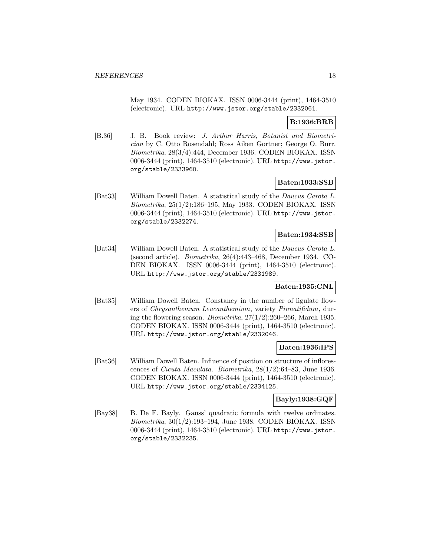May 1934. CODEN BIOKAX. ISSN 0006-3444 (print), 1464-3510 (electronic). URL http://www.jstor.org/stable/2332061.

# **B:1936:BRB**

[B.36] J. B. Book review: J. Arthur Harris, Botanist and Biometrician by C. Otto Rosendahl; Ross Aiken Gortner; George O. Burr. Biometrika, 28(3/4):444, December 1936. CODEN BIOKAX. ISSN 0006-3444 (print), 1464-3510 (electronic). URL http://www.jstor. org/stable/2333960.

### **Baten:1933:SSB**

[Bat33] William Dowell Baten. A statistical study of the Daucus Carota L. Biometrika, 25(1/2):186–195, May 1933. CODEN BIOKAX. ISSN 0006-3444 (print), 1464-3510 (electronic). URL http://www.jstor. org/stable/2332274.

### **Baten:1934:SSB**

[Bat34] William Dowell Baten. A statistical study of the Daucus Carota L. (second article). Biometrika, 26(4):443–468, December 1934. CO-DEN BIOKAX. ISSN 0006-3444 (print), 1464-3510 (electronic). URL http://www.jstor.org/stable/2331989.

### **Baten:1935:CNL**

[Bat35] William Dowell Baten. Constancy in the number of ligulate flowers of Chrysanthemum Leucanthemium, variety Pinnatifidum, during the flowering season. *Biometrika*,  $27(1/2):260-266$ , March 1935. CODEN BIOKAX. ISSN 0006-3444 (print), 1464-3510 (electronic). URL http://www.jstor.org/stable/2332046.

# **Baten:1936:IPS**

[Bat36] William Dowell Baten. Influence of position on structure of inflorescences of Cicuta Maculata. Biometrika, 28(1/2):64–83, June 1936. CODEN BIOKAX. ISSN 0006-3444 (print), 1464-3510 (electronic). URL http://www.jstor.org/stable/2334125.

# **Bayly:1938:GQF**

[Bay38] B. De F. Bayly. Gauss' quadratic formula with twelve ordinates. Biometrika, 30(1/2):193–194, June 1938. CODEN BIOKAX. ISSN 0006-3444 (print), 1464-3510 (electronic). URL http://www.jstor. org/stable/2332235.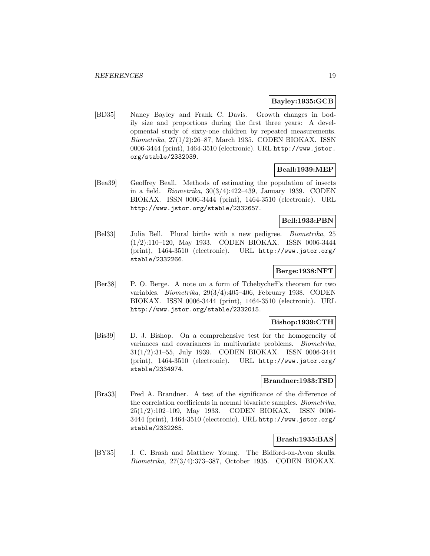### **Bayley:1935:GCB**

[BD35] Nancy Bayley and Frank C. Davis. Growth changes in bodily size and proportions during the first three years: A developmental study of sixty-one children by repeated measurements. Biometrika, 27(1/2):26–87, March 1935. CODEN BIOKAX. ISSN 0006-3444 (print), 1464-3510 (electronic). URL http://www.jstor. org/stable/2332039.

# **Beall:1939:MEP**

[Bea39] Geoffrey Beall. Methods of estimating the population of insects in a field. Biometrika, 30(3/4):422–439, January 1939. CODEN BIOKAX. ISSN 0006-3444 (print), 1464-3510 (electronic). URL http://www.jstor.org/stable/2332657.

# **Bell:1933:PBN**

[Bel33] Julia Bell. Plural births with a new pedigree. Biometrika, 25 (1/2):110–120, May 1933. CODEN BIOKAX. ISSN 0006-3444 (print), 1464-3510 (electronic). URL http://www.jstor.org/ stable/2332266.

# **Berge:1938:NFT**

[Ber38] P. O. Berge. A note on a form of Tchebycheff's theorem for two variables. Biometrika, 29(3/4):405–406, February 1938. CODEN BIOKAX. ISSN 0006-3444 (print), 1464-3510 (electronic). URL http://www.jstor.org/stable/2332015.

### **Bishop:1939:CTH**

[Bis39] D. J. Bishop. On a comprehensive test for the homogeneity of variances and covariances in multivariate problems. Biometrika, 31(1/2):31–55, July 1939. CODEN BIOKAX. ISSN 0006-3444 (print), 1464-3510 (electronic). URL http://www.jstor.org/ stable/2334974.

# **Brandner:1933:TSD**

[Bra33] Fred A. Brandner. A test of the significance of the difference of the correlation coefficients in normal bivariate samples. Biometrika, 25(1/2):102–109, May 1933. CODEN BIOKAX. ISSN 0006- 3444 (print), 1464-3510 (electronic). URL http://www.jstor.org/ stable/2332265.

# **Brash:1935:BAS**

[BY35] J. C. Brash and Matthew Young. The Bidford-on-Avon skulls. Biometrika, 27(3/4):373–387, October 1935. CODEN BIOKAX.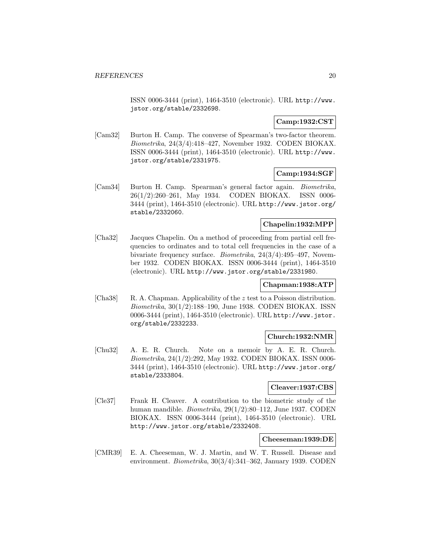ISSN 0006-3444 (print), 1464-3510 (electronic). URL http://www. jstor.org/stable/2332698.

# **Camp:1932:CST**

[Cam32] Burton H. Camp. The converse of Spearman's two-factor theorem. Biometrika, 24(3/4):418–427, November 1932. CODEN BIOKAX. ISSN 0006-3444 (print), 1464-3510 (electronic). URL http://www. jstor.org/stable/2331975.

# **Camp:1934:SGF**

[Cam34] Burton H. Camp. Spearman's general factor again. Biometrika, 26(1/2):260–261, May 1934. CODEN BIOKAX. ISSN 0006- 3444 (print), 1464-3510 (electronic). URL http://www.jstor.org/ stable/2332060.

# **Chapelin:1932:MPP**

[Cha32] Jacques Chapelin. On a method of proceeding from partial cell frequencies to ordinates and to total cell frequencies in the case of a bivariate frequency surface. Biometrika, 24(3/4):495–497, November 1932. CODEN BIOKAX. ISSN 0006-3444 (print), 1464-3510 (electronic). URL http://www.jstor.org/stable/2331980.

### **Chapman:1938:ATP**

[Cha38] R. A. Chapman. Applicability of the z test to a Poisson distribution. Biometrika, 30(1/2):188–190, June 1938. CODEN BIOKAX. ISSN 0006-3444 (print), 1464-3510 (electronic). URL http://www.jstor. org/stable/2332233.

### **Church:1932:NMR**

[Chu32] A. E. R. Church. Note on a memoir by A. E. R. Church. Biometrika, 24(1/2):292, May 1932. CODEN BIOKAX. ISSN 0006- 3444 (print), 1464-3510 (electronic). URL http://www.jstor.org/ stable/2333804.

### **Cleaver:1937:CBS**

[Cle37] Frank H. Cleaver. A contribution to the biometric study of the human mandible. Biometrika, 29(1/2):80–112, June 1937. CODEN BIOKAX. ISSN 0006-3444 (print), 1464-3510 (electronic). URL http://www.jstor.org/stable/2332408.

### **Cheeseman:1939:DE**

[CMR39] E. A. Cheeseman, W. J. Martin, and W. T. Russell. Disease and environment. Biometrika, 30(3/4):341–362, January 1939. CODEN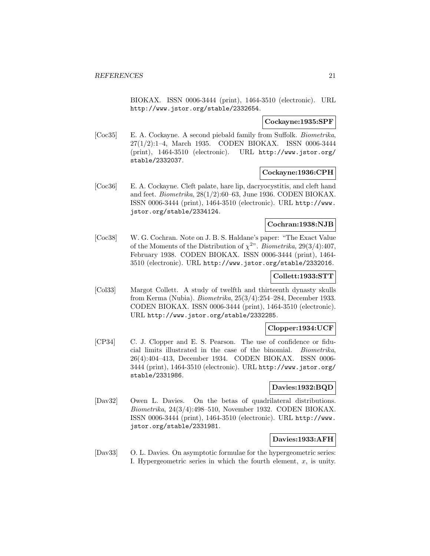BIOKAX. ISSN 0006-3444 (print), 1464-3510 (electronic). URL http://www.jstor.org/stable/2332654.

#### **Cockayne:1935:SPF**

[Coc35] E. A. Cockayne. A second piebald family from Suffolk. Biometrika, 27(1/2):1–4, March 1935. CODEN BIOKAX. ISSN 0006-3444 (print), 1464-3510 (electronic). URL http://www.jstor.org/ stable/2332037.

# **Cockayne:1936:CPH**

[Coc36] E. A. Cockayne. Cleft palate, hare lip, dacryocystitis, and cleft hand and feet. Biometrika, 28(1/2):60–63, June 1936. CODEN BIOKAX. ISSN 0006-3444 (print), 1464-3510 (electronic). URL http://www. jstor.org/stable/2334124.

# **Cochran:1938:NJB**

[Coc38] W. G. Cochran. Note on J. B. S. Haldane's paper: "The Exact Value of the Moments of the Distribution of  $\chi^{2}$ ". Biometrika, 29(3/4):407, February 1938. CODEN BIOKAX. ISSN 0006-3444 (print), 1464- 3510 (electronic). URL http://www.jstor.org/stable/2332016.

# **Collett:1933:STT**

[Col33] Margot Collett. A study of twelfth and thirteenth dynasty skulls from Kerma (Nubia). Biometrika, 25(3/4):254–284, December 1933. CODEN BIOKAX. ISSN 0006-3444 (print), 1464-3510 (electronic). URL http://www.jstor.org/stable/2332285.

### **Clopper:1934:UCF**

[CP34] C. J. Clopper and E. S. Pearson. The use of confidence or fiducial limits illustrated in the case of the binomial. Biometrika, 26(4):404–413, December 1934. CODEN BIOKAX. ISSN 0006- 3444 (print), 1464-3510 (electronic). URL http://www.jstor.org/ stable/2331986.

### **Davies:1932:BQD**

[Dav32] Owen L. Davies. On the betas of quadrilateral distributions. Biometrika, 24(3/4):498–510, November 1932. CODEN BIOKAX. ISSN 0006-3444 (print), 1464-3510 (electronic). URL http://www. jstor.org/stable/2331981.

# **Davies:1933:AFH**

[Dav33] O. L. Davies. On asymptotic formulae for the hypergeometric series: I. Hypergeometric series in which the fourth element,  $x$ , is unity.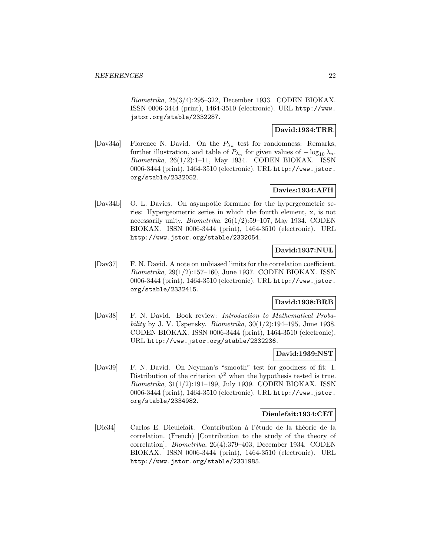Biometrika, 25(3/4):295–322, December 1933. CODEN BIOKAX. ISSN 0006-3444 (print), 1464-3510 (electronic). URL http://www. jstor.org/stable/2332287.

# **David:1934:TRR**

[Dav34a] Florence N. David. On the  $P_{\lambda_n}$  test for randomness: Remarks, further illustration, and table of  $P_{\lambda_n}$  for given values of  $-\log_{10} \lambda_n$ . Biometrika, 26(1/2):1–11, May 1934. CODEN BIOKAX. ISSN 0006-3444 (print), 1464-3510 (electronic). URL http://www.jstor. org/stable/2332052.

# **Davies:1934:AFH**

[Dav34b] O. L. Davies. On asympotic formulae for the hypergeometric series: Hypergeometric series in which the fourth element, x, is not necessarily unity. Biometrika, 26(1/2):59–107, May 1934. CODEN BIOKAX. ISSN 0006-3444 (print), 1464-3510 (electronic). URL http://www.jstor.org/stable/2332054.

# **David:1937:NUL**

[Dav37] F. N. David. A note on unbiased limits for the correlation coefficient. Biometrika, 29(1/2):157–160, June 1937. CODEN BIOKAX. ISSN 0006-3444 (print), 1464-3510 (electronic). URL http://www.jstor. org/stable/2332415.

# **David:1938:BRB**

[Dav38] F. N. David. Book review: Introduction to Mathematical Probability by J. V. Uspensky. Biometrika,  $30(1/2):194-195$ , June 1938. CODEN BIOKAX. ISSN 0006-3444 (print), 1464-3510 (electronic). URL http://www.jstor.org/stable/2332236.

### **David:1939:NST**

[Dav39] F. N. David. On Neyman's "smooth" test for goodness of fit: I. Distribution of the criterion  $\psi^2$  when the hypothesis tested is true. Biometrika, 31(1/2):191–199, July 1939. CODEN BIOKAX. ISSN 0006-3444 (print), 1464-3510 (electronic). URL http://www.jstor. org/stable/2334982.

### **Dieulefait:1934:CET**

[Die34] Carlos E. Dieulefait. Contribution à l'étude de la théorie de la correlation. (French) [Contribution to the study of the theory of correlation]. Biometrika, 26(4):379–403, December 1934. CODEN BIOKAX. ISSN 0006-3444 (print), 1464-3510 (electronic). URL http://www.jstor.org/stable/2331985.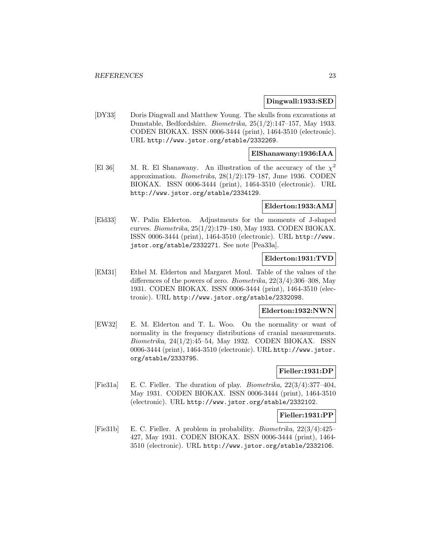### **Dingwall:1933:SED**

[DY33] Doris Dingwall and Matthew Young. The skulls from excavations at Dunstable, Bedfordshire. Biometrika, 25(1/2):147–157, May 1933. CODEN BIOKAX. ISSN 0006-3444 (print), 1464-3510 (electronic). URL http://www.jstor.org/stable/2332269.

# **ElShanawany:1936:IAA**

[El 36] M. R. El Shanawany. An illustration of the accuracy of the  $\chi^2$ approximation. Biometrika, 28(1/2):179–187, June 1936. CODEN BIOKAX. ISSN 0006-3444 (print), 1464-3510 (electronic). URL http://www.jstor.org/stable/2334129.

### **Elderton:1933:AMJ**

[Eld33] W. Palin Elderton. Adjustments for the moments of J-shaped curves. Biometrika, 25(1/2):179–180, May 1933. CODEN BIOKAX. ISSN 0006-3444 (print), 1464-3510 (electronic). URL http://www. jstor.org/stable/2332271. See note [Pea33a].

# **Elderton:1931:TVD**

[EM31] Ethel M. Elderton and Margaret Moul. Table of the values of the differences of the powers of zero. Biometrika, 22(3/4):306–308, May 1931. CODEN BIOKAX. ISSN 0006-3444 (print), 1464-3510 (electronic). URL http://www.jstor.org/stable/2332098.

#### **Elderton:1932:NWN**

[EW32] E. M. Elderton and T. L. Woo. On the normality or want of normality in the frequency distributions of cranial measurements. Biometrika, 24(1/2):45–54, May 1932. CODEN BIOKAX. ISSN 0006-3444 (print), 1464-3510 (electronic). URL http://www.jstor. org/stable/2333795.

# **Fieller:1931:DP**

[Fie31a] E. C. Fieller. The duration of play. Biometrika, 22(3/4):377–404, May 1931. CODEN BIOKAX. ISSN 0006-3444 (print), 1464-3510 (electronic). URL http://www.jstor.org/stable/2332102.

### **Fieller:1931:PP**

[Fie31b] E. C. Fieller. A problem in probability. Biometrika, 22(3/4):425– 427, May 1931. CODEN BIOKAX. ISSN 0006-3444 (print), 1464- 3510 (electronic). URL http://www.jstor.org/stable/2332106.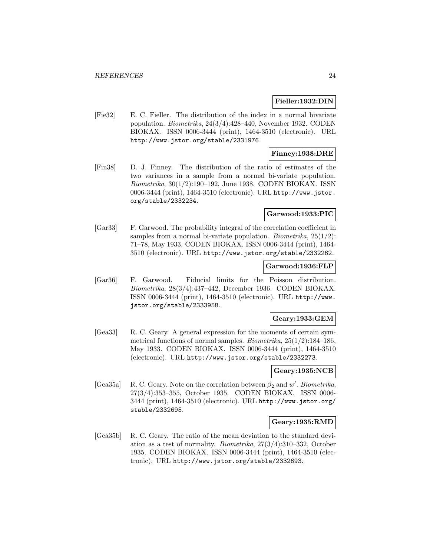#### **Fieller:1932:DIN**

[Fie32] E. C. Fieller. The distribution of the index in a normal bivariate population. Biometrika, 24(3/4):428–440, November 1932. CODEN BIOKAX. ISSN 0006-3444 (print), 1464-3510 (electronic). URL http://www.jstor.org/stable/2331976.

# **Finney:1938:DRE**

[Fin38] D. J. Finney. The distribution of the ratio of estimates of the two variances in a sample from a normal bi-variate population. Biometrika, 30(1/2):190–192, June 1938. CODEN BIOKAX. ISSN 0006-3444 (print), 1464-3510 (electronic). URL http://www.jstor. org/stable/2332234.

# **Garwood:1933:PIC**

[Gar33] F. Garwood. The probability integral of the correlation coefficient in samples from a normal bi-variate population. *Biometrika*,  $25(1/2)$ : 71–78, May 1933. CODEN BIOKAX. ISSN 0006-3444 (print), 1464- 3510 (electronic). URL http://www.jstor.org/stable/2332262.

### **Garwood:1936:FLP**

[Gar36] F. Garwood. Fiducial limits for the Poisson distribution. Biometrika, 28(3/4):437–442, December 1936. CODEN BIOKAX. ISSN 0006-3444 (print), 1464-3510 (electronic). URL http://www. jstor.org/stable/2333958.

### **Geary:1933:GEM**

[Gea33] R. C. Geary. A general expression for the moments of certain symmetrical functions of normal samples. Biometrika, 25(1/2):184–186, May 1933. CODEN BIOKAX. ISSN 0006-3444 (print), 1464-3510 (electronic). URL http://www.jstor.org/stable/2332273.

# **Geary:1935:NCB**

[Gea35a] R. C. Geary. Note on the correlation between  $\beta_2$  and w'. Biometrika, 27(3/4):353–355, October 1935. CODEN BIOKAX. ISSN 0006- 3444 (print), 1464-3510 (electronic). URL http://www.jstor.org/ stable/2332695.

### **Geary:1935:RMD**

[Gea35b] R. C. Geary. The ratio of the mean deviation to the standard deviation as a test of normality. Biometrika, 27(3/4):310–332, October 1935. CODEN BIOKAX. ISSN 0006-3444 (print), 1464-3510 (electronic). URL http://www.jstor.org/stable/2332693.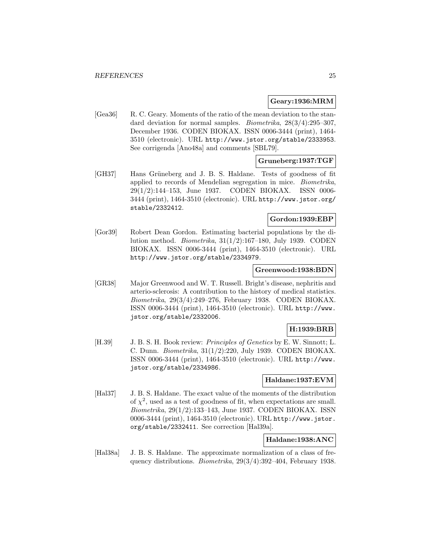### **Geary:1936:MRM**

[Gea36] R. C. Geary. Moments of the ratio of the mean deviation to the standard deviation for normal samples. Biometrika, 28(3/4):295–307, December 1936. CODEN BIOKAX. ISSN 0006-3444 (print), 1464- 3510 (electronic). URL http://www.jstor.org/stable/2333953. See corrigenda [Ano48a] and comments [SBL79].

### **Gruneberg:1937:TGF**

[GH37] Hans Grüneberg and J. B. S. Haldane. Tests of goodness of fit applied to records of Mendelian segregation in mice. Biometrika, 29(1/2):144–153, June 1937. CODEN BIOKAX. ISSN 0006- 3444 (print), 1464-3510 (electronic). URL http://www.jstor.org/ stable/2332412.

# **Gordon:1939:EBP**

[Gor39] Robert Dean Gordon. Estimating bacterial populations by the dilution method. Biometrika, 31(1/2):167–180, July 1939. CODEN BIOKAX. ISSN 0006-3444 (print), 1464-3510 (electronic). URL http://www.jstor.org/stable/2334979.

#### **Greenwood:1938:BDN**

[GR38] Major Greenwood and W. T. Russell. Bright's disease, nephritis and arterio-sclerosis: A contribution to the history of medical statistics. Biometrika, 29(3/4):249–276, February 1938. CODEN BIOKAX. ISSN 0006-3444 (print), 1464-3510 (electronic). URL http://www. jstor.org/stable/2332006.

# **H:1939:BRB**

[H.39] J. B. S. H. Book review: Principles of Genetics by E. W. Sinnott; L. C. Dunn. Biometrika, 31(1/2):220, July 1939. CODEN BIOKAX. ISSN 0006-3444 (print), 1464-3510 (electronic). URL http://www. jstor.org/stable/2334986.

# **Haldane:1937:EVM**

[Hal37] J. B. S. Haldane. The exact value of the moments of the distribution of  $\chi^2$ , used as a test of goodness of fit, when expectations are small. Biometrika, 29(1/2):133–143, June 1937. CODEN BIOKAX. ISSN 0006-3444 (print), 1464-3510 (electronic). URL http://www.jstor. org/stable/2332411. See correction [Hal39a].

# **Haldane:1938:ANC**

[Hal38a] J. B. S. Haldane. The approximate normalization of a class of frequency distributions. Biometrika, 29(3/4):392–404, February 1938.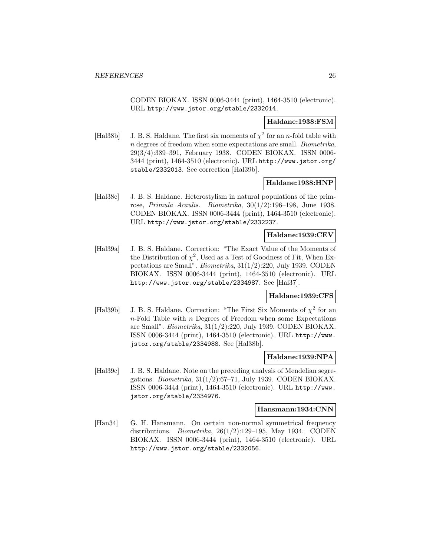CODEN BIOKAX. ISSN 0006-3444 (print), 1464-3510 (electronic). URL http://www.jstor.org/stable/2332014.

# **Haldane:1938:FSM**

[Hal38b] J. B. S. Haldane. The first six moments of  $\chi^2$  for an *n*-fold table with n degrees of freedom when some expectations are small. Biometrika, 29(3/4):389–391, February 1938. CODEN BIOKAX. ISSN 0006- 3444 (print), 1464-3510 (electronic). URL http://www.jstor.org/ stable/2332013. See correction [Hal39b].

### **Haldane:1938:HNP**

[Hal38c] J. B. S. Haldane. Heterostylism in natural populations of the primrose, Primula Acaulis. Biometrika, 30(1/2):196–198, June 1938. CODEN BIOKAX. ISSN 0006-3444 (print), 1464-3510 (electronic). URL http://www.jstor.org/stable/2332237.

# **Haldane:1939:CEV**

[Hal39a] J. B. S. Haldane. Correction: "The Exact Value of the Moments of the Distribution of  $\chi^2$ , Used as a Test of Goodness of Fit, When Expectations are Small". Biometrika, 31(1/2):220, July 1939. CODEN BIOKAX. ISSN 0006-3444 (print), 1464-3510 (electronic). URL http://www.jstor.org/stable/2334987. See [Hal37].

### **Haldane:1939:CFS**

[Hal39b] J. B. S. Haldane. Correction: "The First Six Moments of  $\chi^2$  for an  $n$ -Fold Table with n Degrees of Freedom when some Expectations are Small". Biometrika, 31(1/2):220, July 1939. CODEN BIOKAX. ISSN 0006-3444 (print), 1464-3510 (electronic). URL http://www. jstor.org/stable/2334988. See [Hal38b].

### **Haldane:1939:NPA**

[Hal39c] J. B. S. Haldane. Note on the preceding analysis of Mendelian segregations. Biometrika, 31(1/2):67–71, July 1939. CODEN BIOKAX. ISSN 0006-3444 (print), 1464-3510 (electronic). URL http://www. jstor.org/stable/2334976.

### **Hansmann:1934:CNN**

[Han34] G. H. Hansmann. On certain non-normal symmetrical frequency distributions. *Biometrika*,  $26(1/2):129-195$ , May 1934. CODEN BIOKAX. ISSN 0006-3444 (print), 1464-3510 (electronic). URL http://www.jstor.org/stable/2332056.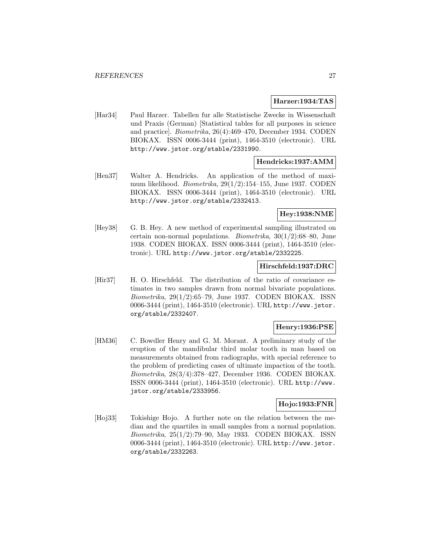#### **Harzer:1934:TAS**

[Har34] Paul Harzer. Tabellen fur alle Statistische Zwecke in Wissenschaft und Praxis (German) [Statistical tables for all purposes in science and practice]. Biometrika, 26(4):469–470, December 1934. CODEN BIOKAX. ISSN 0006-3444 (print), 1464-3510 (electronic). URL http://www.jstor.org/stable/2331990.

# **Hendricks:1937:AMM**

[Hen37] Walter A. Hendricks. An application of the method of maximum likelihood. Biometrika, 29(1/2):154–155, June 1937. CODEN BIOKAX. ISSN 0006-3444 (print), 1464-3510 (electronic). URL http://www.jstor.org/stable/2332413.

#### **Hey:1938:NME**

[Hey38] G. B. Hey. A new method of experimental sampling illustrated on certain non-normal populations. Biometrika, 30(1/2):68–80, June 1938. CODEN BIOKAX. ISSN 0006-3444 (print), 1464-3510 (electronic). URL http://www.jstor.org/stable/2332225.

#### **Hirschfeld:1937:DRC**

[Hir37] H. O. Hirschfeld. The distribution of the ratio of covariance estimates in two samples drawn from normal bivariate populations. Biometrika, 29(1/2):65–79, June 1937. CODEN BIOKAX. ISSN 0006-3444 (print), 1464-3510 (electronic). URL http://www.jstor. org/stable/2332407.

# **Henry:1936:PSE**

[HM36] C. Bowdler Henry and G. M. Morant. A preliminary study of the eruption of the mandibular third molar tooth in man based on measurements obtained from radiographs, with special reference to the problem of predicting cases of ultimate impaction of the tooth. Biometrika, 28(3/4):378–427, December 1936. CODEN BIOKAX. ISSN 0006-3444 (print), 1464-3510 (electronic). URL http://www. jstor.org/stable/2333956.

# **Hojo:1933:FNR**

[Hoj33] Tokishige Hojo. A further note on the relation between the median and the quartiles in small samples from a normal population. Biometrika, 25(1/2):79–90, May 1933. CODEN BIOKAX. ISSN 0006-3444 (print), 1464-3510 (electronic). URL http://www.jstor. org/stable/2332263.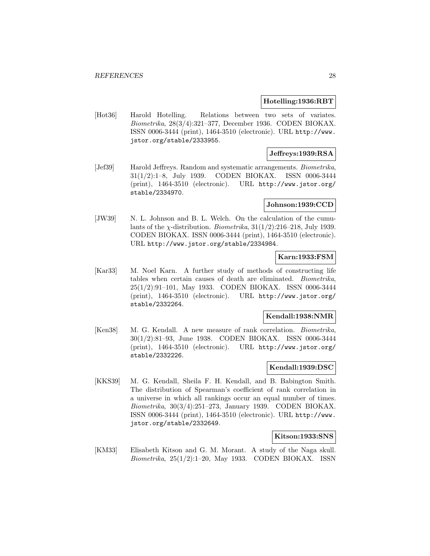#### **Hotelling:1936:RBT**

[Hot36] Harold Hotelling. Relations between two sets of variates. Biometrika, 28(3/4):321–377, December 1936. CODEN BIOKAX. ISSN 0006-3444 (print), 1464-3510 (electronic). URL http://www. jstor.org/stable/2333955.

# **Jeffreys:1939:RSA**

[Jef39] Harold Jeffreys. Random and systematic arrangements. Biometrika, 31(1/2):1–8, July 1939. CODEN BIOKAX. ISSN 0006-3444 (print), 1464-3510 (electronic). URL http://www.jstor.org/ stable/2334970.

### **Johnson:1939:CCD**

[JW39] N. L. Johnson and B. L. Welch. On the calculation of the cumulants of the  $\chi$ -distribution. *Biometrika*, 31(1/2):216–218, July 1939. CODEN BIOKAX. ISSN 0006-3444 (print), 1464-3510 (electronic). URL http://www.jstor.org/stable/2334984.

### **Karn:1933:FSM**

[Kar33] M. Noel Karn. A further study of methods of constructing life tables when certain causes of death are eliminated. Biometrika, 25(1/2):91–101, May 1933. CODEN BIOKAX. ISSN 0006-3444 (print), 1464-3510 (electronic). URL http://www.jstor.org/ stable/2332264.

# **Kendall:1938:NMR**

[Ken38] M. G. Kendall. A new measure of rank correlation. Biometrika, 30(1/2):81–93, June 1938. CODEN BIOKAX. ISSN 0006-3444 (print), 1464-3510 (electronic). URL http://www.jstor.org/ stable/2332226.

#### **Kendall:1939:DSC**

[KKS39] M. G. Kendall, Sheila F. H. Kendall, and B. Babington Smith. The distribution of Spearman's coefficient of rank correlation in a universe in which all rankings occur an equal number of times. Biometrika, 30(3/4):251–273, January 1939. CODEN BIOKAX. ISSN 0006-3444 (print), 1464-3510 (electronic). URL http://www. jstor.org/stable/2332649.

### **Kitson:1933:SNS**

[KM33] Elisabeth Kitson and G. M. Morant. A study of the Naga skull. Biometrika, 25(1/2):1–20, May 1933. CODEN BIOKAX. ISSN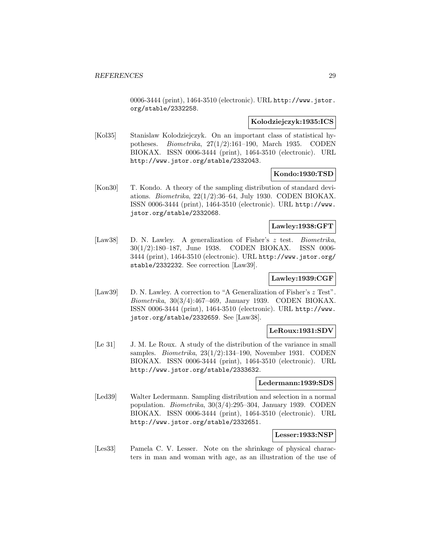0006-3444 (print), 1464-3510 (electronic). URL http://www.jstor. org/stable/2332258.

#### **Kolodziejczyk:1935:ICS**

[Kol35] Stanislaw Kolodziejczyk. On an important class of statistical hypotheses. Biometrika, 27(1/2):161–190, March 1935. CODEN BIOKAX. ISSN 0006-3444 (print), 1464-3510 (electronic). URL http://www.jstor.org/stable/2332043.

### **Kondo:1930:TSD**

[Kon30] T. Kondo. A theory of the sampling distribution of standard deviations. Biometrika, 22(1/2):36–64, July 1930. CODEN BIOKAX. ISSN 0006-3444 (print), 1464-3510 (electronic). URL http://www. jstor.org/stable/2332068.

#### **Lawley:1938:GFT**

[Law38] D. N. Lawley. A generalization of Fisher's z test. Biometrika, 30(1/2):180–187, June 1938. CODEN BIOKAX. ISSN 0006- 3444 (print), 1464-3510 (electronic). URL http://www.jstor.org/ stable/2332232. See correction [Law39].

# **Lawley:1939:CGF**

[Law39] D. N. Lawley. A correction to "A Generalization of Fisher's z Test". Biometrika, 30(3/4):467–469, January 1939. CODEN BIOKAX. ISSN 0006-3444 (print), 1464-3510 (electronic). URL http://www. jstor.org/stable/2332659. See [Law38].

### **LeRoux:1931:SDV**

[Le 31] J. M. Le Roux. A study of the distribution of the variance in small samples. Biometrika, 23(1/2):134–190, November 1931. CODEN BIOKAX. ISSN 0006-3444 (print), 1464-3510 (electronic). URL http://www.jstor.org/stable/2333632.

### **Ledermann:1939:SDS**

[Led39] Walter Ledermann. Sampling distribution and selection in a normal population. Biometrika, 30(3/4):295–304, January 1939. CODEN BIOKAX. ISSN 0006-3444 (print), 1464-3510 (electronic). URL http://www.jstor.org/stable/2332651.

#### **Lesser:1933:NSP**

[Les33] Pamela C. V. Lesser. Note on the shrinkage of physical characters in man and woman with age, as an illustration of the use of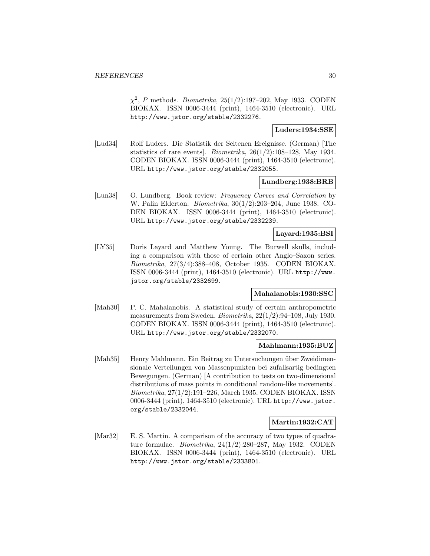$\chi^2$ , P methods. *Biometrika*, 25(1/2):197–202, May 1933. CODEN BIOKAX. ISSN 0006-3444 (print), 1464-3510 (electronic). URL http://www.jstor.org/stable/2332276.

# **Luders:1934:SSE**

[Lud34] Rolf Luders. Die Statistik der Seltenen Ereignisse. (German) [The statistics of rare events]. Biometrika, 26(1/2):108–128, May 1934. CODEN BIOKAX. ISSN 0006-3444 (print), 1464-3510 (electronic). URL http://www.jstor.org/stable/2332055.

#### **Lundberg:1938:BRB**

[Lun38] O. Lundberg. Book review: Frequency Curves and Correlation by W. Palin Elderton. Biometrika, 30(1/2):203–204, June 1938. CO-DEN BIOKAX. ISSN 0006-3444 (print), 1464-3510 (electronic). URL http://www.jstor.org/stable/2332239.

### **Layard:1935:BSI**

[LY35] Doris Layard and Matthew Young. The Burwell skulls, including a comparison with those of certain other Anglo–Saxon series. Biometrika, 27(3/4):388–408, October 1935. CODEN BIOKAX. ISSN 0006-3444 (print), 1464-3510 (electronic). URL http://www. jstor.org/stable/2332699.

### **Mahalanobis:1930:SSC**

[Mah30] P. C. Mahalanobis. A statistical study of certain anthropometric measurements from Sweden. Biometrika, 22(1/2):94–108, July 1930. CODEN BIOKAX. ISSN 0006-3444 (print), 1464-3510 (electronic). URL http://www.jstor.org/stable/2332070.

# **Mahlmann:1935:BUZ**

[Mah35] Henry Mahlmann. Ein Beitrag zu Untersuchungen über Zweidimensionale Verteilungen von Massenpunkten bei zufallsartig bedingten Bewegungen. (German) [A contribution to tests on two-dimensional distributions of mass points in conditional random-like movements]. Biometrika, 27(1/2):191–226, March 1935. CODEN BIOKAX. ISSN 0006-3444 (print), 1464-3510 (electronic). URL http://www.jstor. org/stable/2332044.

### **Martin:1932:CAT**

[Mar32] E.S. Martin. A comparison of the accuracy of two types of quadrature formulae. Biometrika, 24(1/2):280–287, May 1932. CODEN BIOKAX. ISSN 0006-3444 (print), 1464-3510 (electronic). URL http://www.jstor.org/stable/2333801.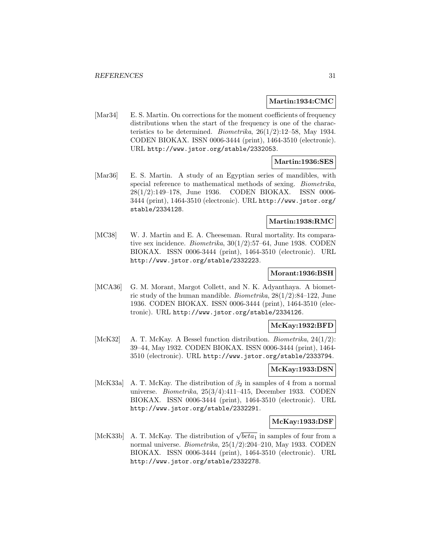#### **Martin:1934:CMC**

[Mar34] E. S. Martin. On corrections for the moment coefficients of frequency distributions when the start of the frequency is one of the characteristics to be determined. *Biometrika*,  $26(1/2):12-58$ , May 1934. CODEN BIOKAX. ISSN 0006-3444 (print), 1464-3510 (electronic). URL http://www.jstor.org/stable/2332053.

### **Martin:1936:SES**

[Mar36] E. S. Martin. A study of an Egyptian series of mandibles, with special reference to mathematical methods of sexing. Biometrika, 28(1/2):149–178, June 1936. CODEN BIOKAX. ISSN 0006- 3444 (print), 1464-3510 (electronic). URL http://www.jstor.org/ stable/2334128.

#### **Martin:1938:RMC**

[MC38] W. J. Martin and E. A. Cheeseman. Rural mortality. Its comparative sex incidence. Biometrika, 30(1/2):57–64, June 1938. CODEN BIOKAX. ISSN 0006-3444 (print), 1464-3510 (electronic). URL http://www.jstor.org/stable/2332223.

#### **Morant:1936:BSH**

[MCA36] G. M. Morant, Margot Collett, and N. K. Adyanthaya. A biometric study of the human mandible. Biometrika, 28(1/2):84–122, June 1936. CODEN BIOKAX. ISSN 0006-3444 (print), 1464-3510 (electronic). URL http://www.jstor.org/stable/2334126.

#### **McKay:1932:BFD**

[McK32] A. T. McKay. A Bessel function distribution. Biometrika, 24(1/2): 39–44, May 1932. CODEN BIOKAX. ISSN 0006-3444 (print), 1464- 3510 (electronic). URL http://www.jstor.org/stable/2333794.

# **McKay:1933:DSN**

[McK33a] A. T. McKay. The distribution of  $\beta_2$  in samples of 4 from a normal universe. Biometrika, 25(3/4):411–415, December 1933. CODEN BIOKAX. ISSN 0006-3444 (print), 1464-3510 (electronic). URL http://www.jstor.org/stable/2332291.

### **McKay:1933:DSF**

[McK33b] A. T. McKay. The distribution of  $\sqrt{beta_1}$  in samples of four from a normal universe. Biometrika, 25(1/2):204–210, May 1933. CODEN BIOKAX. ISSN 0006-3444 (print), 1464-3510 (electronic). URL http://www.jstor.org/stable/2332278.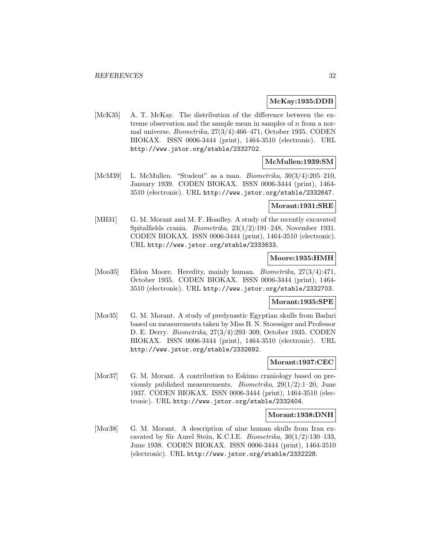#### **McKay:1935:DDB**

[McK35] A. T. McKay. The distribution of the difference between the extreme observation and the sample mean in samples of n from a normal universe. Biometrika, 27(3/4):466–471, October 1935. CODEN BIOKAX. ISSN 0006-3444 (print), 1464-3510 (electronic). URL http://www.jstor.org/stable/2332702.

# **McMullen:1939:SM**

[McM39] L. McMullen. "Student" as a man. Biometrika, 30(3/4):205–210, January 1939. CODEN BIOKAX. ISSN 0006-3444 (print), 1464- 3510 (electronic). URL http://www.jstor.org/stable/2332647.

# **Morant:1931:SRE**

[MH31] G. M. Morant and M. F. Hoadley. A study of the recently excavated Spitalfields crania. Biometrika, 23(1/2):191–248, November 1931. CODEN BIOKAX. ISSN 0006-3444 (print), 1464-3510 (electronic). URL http://www.jstor.org/stable/2333633.

# **Moore:1935:HMH**

[Moo35] Eldon Moore. Heredity, mainly human. Biometrika, 27(3/4):471, October 1935. CODEN BIOKAX. ISSN 0006-3444 (print), 1464- 3510 (electronic). URL http://www.jstor.org/stable/2332703.

### **Morant:1935:SPE**

[Mor35] G. M. Morant. A study of predynastic Egyptian skulls from Badari based on measurements taken by Miss B. N. Stoessiger and Professor D. E. Derry. Biometrika, 27(3/4):293–309, October 1935. CODEN BIOKAX. ISSN 0006-3444 (print), 1464-3510 (electronic). URL http://www.jstor.org/stable/2332692.

# **Morant:1937:CEC**

[Mor37] G. M. Morant. A contribution to Eskimo craniology based on previously published measurements. Biometrika, 29(1/2):1–20, June 1937. CODEN BIOKAX. ISSN 0006-3444 (print), 1464-3510 (electronic). URL http://www.jstor.org/stable/2332404.

#### **Morant:1938:DNH**

[Mor38] G. M. Morant. A description of nine human skulls from Iran excavated by Sir Aurel Stein, K.C.I.E. *Biometrika*,  $30(1/2):130-133$ , June 1938. CODEN BIOKAX. ISSN 0006-3444 (print), 1464-3510 (electronic). URL http://www.jstor.org/stable/2332228.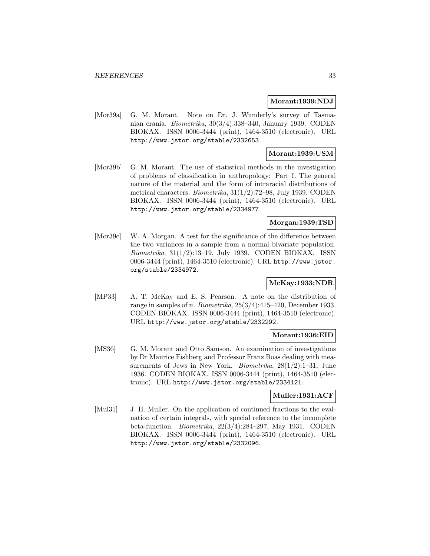#### **Morant:1939:NDJ**

[Mor39a] G. M. Morant. Note on Dr. J. Wunderly's survey of Tasmanian crania. Biometrika, 30(3/4):338–340, January 1939. CODEN BIOKAX. ISSN 0006-3444 (print), 1464-3510 (electronic). URL http://www.jstor.org/stable/2332653.

### **Morant:1939:USM**

[Mor39b] G. M. Morant. The use of statistical methods in the investigation of problems of classification in anthropology: Part I. The general nature of the material and the form of intraracial distributions of metrical characters. Biometrika, 31(1/2):72–98, July 1939. CODEN BIOKAX. ISSN 0006-3444 (print), 1464-3510 (electronic). URL http://www.jstor.org/stable/2334977.

# **Morgan:1939:TSD**

[Mor39c] W. A. Morgan. A test for the significance of the difference between the two variances in a sample from a normal bivariate population. Biometrika, 31(1/2):13–19, July 1939. CODEN BIOKAX. ISSN 0006-3444 (print), 1464-3510 (electronic). URL http://www.jstor. org/stable/2334972.

### **McKay:1933:NDR**

[MP33] A. T. McKay and E. S. Pearson. A note on the distribution of range in samples of *n. Biometrika*,  $25(3/4)$ :415–420, December 1933. CODEN BIOKAX. ISSN 0006-3444 (print), 1464-3510 (electronic). URL http://www.jstor.org/stable/2332292.

#### **Morant:1936:EID**

[MS36] G. M. Morant and Otto Samson. An examination of investigations by Dr Maurice Fishberg and Professor Franz Boas dealing with measurements of Jews in New York. *Biometrika*,  $28(1/2):1-31$ , June 1936. CODEN BIOKAX. ISSN 0006-3444 (print), 1464-3510 (electronic). URL http://www.jstor.org/stable/2334121.

### **Muller:1931:ACF**

[Mul31] J. H. Muller. On the application of continued fractions to the evaluation of certain integrals, with special reference to the incomplete beta-function. Biometrika, 22(3/4):284–297, May 1931. CODEN BIOKAX. ISSN 0006-3444 (print), 1464-3510 (electronic). URL http://www.jstor.org/stable/2332096.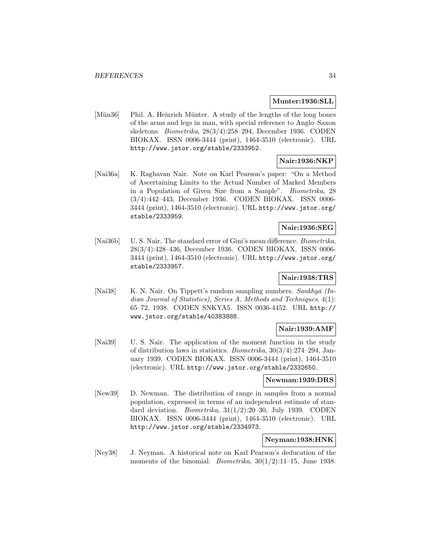#### **Munter:1936:SLL**

[Mün36] Phil. A. Heinrich Münter. A study of the lengths of the long bones of the arms and legs in man, with special reference to Anglo–Saxon skeletons. Biometrika, 28(3/4):258–294, December 1936. CODEN BIOKAX. ISSN 0006-3444 (print), 1464-3510 (electronic). URL http://www.jstor.org/stable/2333952.

### **Nair:1936:NKP**

[Nai36a] K. Raghavan Nair. Note on Karl Pearson's paper: "On a Method of Ascertaining Limits to the Actual Number of Marked Members in a Population of Given Size from a Sample". Biometrika, 28 (3/4):442–443, December 1936. CODEN BIOKAX. ISSN 0006- 3444 (print), 1464-3510 (electronic). URL http://www.jstor.org/ stable/2333959.

### **Nair:1936:SEG**

[Nai36b] U. S. Nair. The standard error of Gini's mean difference. Biometrika, 28(3/4):428–436, December 1936. CODEN BIOKAX. ISSN 0006- 3444 (print), 1464-3510 (electronic). URL http://www.jstor.org/ stable/2333957.

# **Nair:1938:TRS**

[Nai38] K. N. Nair. On Tippett's random sampling numbers.  $Sankhy\bar{a}$  (Indian Journal of Statistics), Series A. Methods and Techniques, 4(1): 65–72, 1938. CODEN SNKYA5. ISSN 0036-4452. URL http:// www.jstor.org/stable/40383888.

### **Nair:1939:AMF**

[Nai39] U. S. Nair. The application of the moment function in the study of distribution laws in statistics. *Biometrika*,  $30(3/4):274-294$ , January 1939. CODEN BIOKAX. ISSN 0006-3444 (print), 1464-3510 (electronic). URL http://www.jstor.org/stable/2332650.

### **Newman:1939:DRS**

[New39] D. Newman. The distribution of range in samples from a normal population, expressed in terms of an independent estimate of standard deviation. *Biometrika*,  $31(1/2):20-30$ , July 1939. CODEN BIOKAX. ISSN 0006-3444 (print), 1464-3510 (electronic). URL http://www.jstor.org/stable/2334973.

### **Neyman:1938:HNK**

[Ney38] J. Neyman. A historical note on Karl Pearson's deducation of the moments of the binomial. *Biometrika*,  $30(1/2)$ :11–15, June 1938.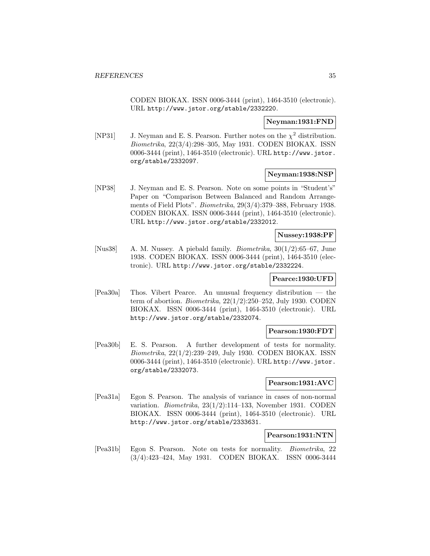CODEN BIOKAX. ISSN 0006-3444 (print), 1464-3510 (electronic). URL http://www.jstor.org/stable/2332220.

### **Neyman:1931:FND**

[NP31] J. Neyman and E. S. Pearson. Further notes on the  $\chi^2$  distribution. Biometrika, 22(3/4):298–305, May 1931. CODEN BIOKAX. ISSN 0006-3444 (print), 1464-3510 (electronic). URL http://www.jstor. org/stable/2332097.

### **Neyman:1938:NSP**

[NP38] J. Neyman and E. S. Pearson. Note on some points in "Student's" Paper on "Comparison Between Balanced and Random Arrangements of Field Plots". Biometrika, 29(3/4):379–388, February 1938. CODEN BIOKAX. ISSN 0006-3444 (print), 1464-3510 (electronic). URL http://www.jstor.org/stable/2332012.

#### **Nussey:1938:PF**

[Nus38] A. M. Nussey. A piebald family. Biometrika, 30(1/2):65–67, June 1938. CODEN BIOKAX. ISSN 0006-3444 (print), 1464-3510 (electronic). URL http://www.jstor.org/stable/2332224.

#### **Pearce:1930:UFD**

[Pea30a] Thos. Vibert Pearce. An unusual frequency distribution — the term of abortion. *Biometrika*,  $22(1/2):250-252$ , July 1930. CODEN BIOKAX. ISSN 0006-3444 (print), 1464-3510 (electronic). URL http://www.jstor.org/stable/2332074.

#### **Pearson:1930:FDT**

[Pea30b] E. S. Pearson. A further development of tests for normality. Biometrika, 22(1/2):239–249, July 1930. CODEN BIOKAX. ISSN 0006-3444 (print), 1464-3510 (electronic). URL http://www.jstor. org/stable/2332073.

### **Pearson:1931:AVC**

[Pea31a] Egon S. Pearson. The analysis of variance in cases of non-normal variation. Biometrika, 23(1/2):114–133, November 1931. CODEN BIOKAX. ISSN 0006-3444 (print), 1464-3510 (electronic). URL http://www.jstor.org/stable/2333631.

#### **Pearson:1931:NTN**

[Pea31b] Egon S. Pearson. Note on tests for normality. Biometrika, 22 (3/4):423–424, May 1931. CODEN BIOKAX. ISSN 0006-3444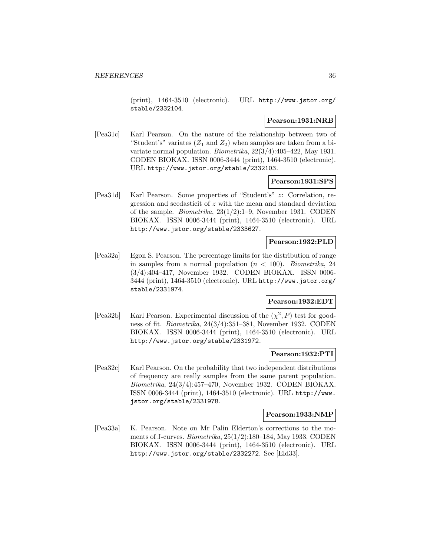(print), 1464-3510 (electronic). URL http://www.jstor.org/ stable/2332104.

#### **Pearson:1931:NRB**

[Pea31c] Karl Pearson. On the nature of the relationship between two of "Student's" variates  $(Z_1 \text{ and } Z_2)$  when samples are taken from a bivariate normal population. Biometrika, 22(3/4):405–422, May 1931. CODEN BIOKAX. ISSN 0006-3444 (print), 1464-3510 (electronic). URL http://www.jstor.org/stable/2332103.

### **Pearson:1931:SPS**

[Pea31d] Karl Pearson. Some properties of "Student's" z: Correlation, regression and scedasticit of z with the mean and standard deviation of the sample. Biometrika, 23(1/2):1–9, November 1931. CODEN BIOKAX. ISSN 0006-3444 (print), 1464-3510 (electronic). URL http://www.jstor.org/stable/2333627.

### **Pearson:1932:PLD**

[Pea32a] Egon S. Pearson. The percentage limits for the distribution of range in samples from a normal population  $(n < 100)$ . Biometrika, 24 (3/4):404–417, November 1932. CODEN BIOKAX. ISSN 0006- 3444 (print), 1464-3510 (electronic). URL http://www.jstor.org/ stable/2331974.

# **Pearson:1932:EDT**

[Pea32b] Karl Pearson. Experimental discussion of the  $(\chi^2, P)$  test for goodness of fit. Biometrika, 24(3/4):351–381, November 1932. CODEN BIOKAX. ISSN 0006-3444 (print), 1464-3510 (electronic). URL http://www.jstor.org/stable/2331972.

### **Pearson:1932:PTI**

[Pea32c] Karl Pearson. On the probability that two independent distributions of frequency are really samples from the same parent population. Biometrika, 24(3/4):457–470, November 1932. CODEN BIOKAX. ISSN 0006-3444 (print), 1464-3510 (electronic). URL http://www. jstor.org/stable/2331978.

#### **Pearson:1933:NMP**

[Pea33a] K. Pearson. Note on Mr Palin Elderton's corrections to the moments of J-curves. *Biometrika*,  $25(1/2):180-184$ , May 1933. CODEN BIOKAX. ISSN 0006-3444 (print), 1464-3510 (electronic). URL http://www.jstor.org/stable/2332272. See [Eld33].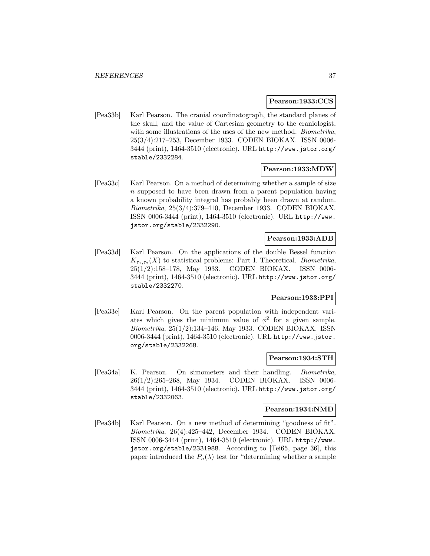#### **Pearson:1933:CCS**

[Pea33b] Karl Pearson. The cranial coordinatograph, the standard planes of the skull, and the value of Cartesian geometry to the craniologist, with some illustrations of the uses of the new method. Biometrika, 25(3/4):217–253, December 1933. CODEN BIOKAX. ISSN 0006- 3444 (print), 1464-3510 (electronic). URL http://www.jstor.org/ stable/2332284.

### **Pearson:1933:MDW**

[Pea33c] Karl Pearson. On a method of determining whether a sample of size n supposed to have been drawn from a parent population having a known probability integral has probably been drawn at random. Biometrika, 25(3/4):379–410, December 1933. CODEN BIOKAX. ISSN 0006-3444 (print), 1464-3510 (electronic). URL http://www. jstor.org/stable/2332290.

# **Pearson:1933:ADB**

[Pea33d] Karl Pearson. On the applications of the double Bessel function  $K_{\tau_1,\tau_2}(X)$  to statistical problems: Part I. Theoretical. Biometrika, 25(1/2):158–178, May 1933. CODEN BIOKAX. ISSN 0006- 3444 (print), 1464-3510 (electronic). URL http://www.jstor.org/ stable/2332270.

### **Pearson:1933:PPI**

[Pea33e] Karl Pearson. On the parent population with independent variates which gives the minimum value of  $\phi^2$  for a given sample. Biometrika, 25(1/2):134–146, May 1933. CODEN BIOKAX. ISSN 0006-3444 (print), 1464-3510 (electronic). URL http://www.jstor. org/stable/2332268.

# **Pearson:1934:STH**

[Pea34a] K. Pearson. On simometers and their handling. Biometrika, 26(1/2):265–268, May 1934. CODEN BIOKAX. ISSN 0006- 3444 (print), 1464-3510 (electronic). URL http://www.jstor.org/ stable/2332063.

### **Pearson:1934:NMD**

[Pea34b] Karl Pearson. On a new method of determining "goodness of fit". Biometrika, 26(4):425–442, December 1934. CODEN BIOKAX. ISSN 0006-3444 (print), 1464-3510 (electronic). URL http://www. jstor.org/stable/2331988. According to [Tei65, page 36], this paper introduced the  $P_n(\lambda)$  test for "determining whether a sample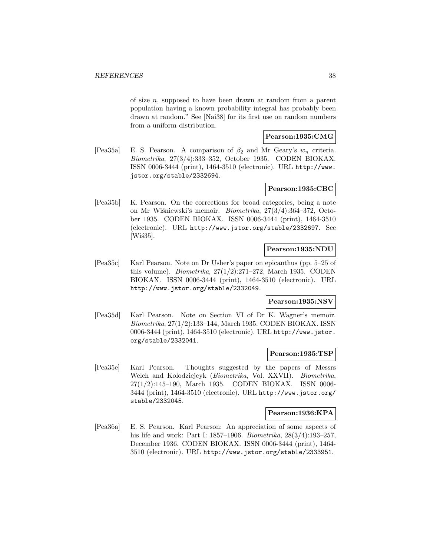of size  $n$ , supposed to have been drawn at random from a parent population having a known probability integral has probably been drawn at random." See [Nai38] for its first use on random numbers from a uniform distribution.

#### **Pearson:1935:CMG**

[Pea35a] E. S. Pearson. A comparison of  $\beta_2$  and Mr Geary's  $w_n$  criteria. Biometrika, 27(3/4):333–352, October 1935. CODEN BIOKAX. ISSN 0006-3444 (print), 1464-3510 (electronic). URL http://www. jstor.org/stable/2332694.

# **Pearson:1935:CBC**

[Pea35b] K. Pearson. On the corrections for broad categories, being a note on Mr Wiśniewski's memoir. *Biometrika*,  $27(3/4)$ :364–372, October 1935. CODEN BIOKAX. ISSN 0006-3444 (print), 1464-3510 (electronic). URL http://www.jstor.org/stable/2332697. See  $[Wi\sin 35]$ .

# **Pearson:1935:NDU**

[Pea35c] Karl Pearson. Note on Dr Usher's paper on epicanthus (pp. 5–25 of this volume). Biometrika, 27(1/2):271–272, March 1935. CODEN BIOKAX. ISSN 0006-3444 (print), 1464-3510 (electronic). URL http://www.jstor.org/stable/2332049.

# **Pearson:1935:NSV**

[Pea35d] Karl Pearson. Note on Section VI of Dr K. Wagner's memoir. Biometrika, 27(1/2):133–144, March 1935. CODEN BIOKAX. ISSN 0006-3444 (print), 1464-3510 (electronic). URL http://www.jstor. org/stable/2332041.

### **Pearson:1935:TSP**

[Pea35e] Karl Pearson. Thoughts suggested by the papers of Messrs Welch and Kolodziejcyk (Biometrika, Vol. XXVII). Biometrika, 27(1/2):145–190, March 1935. CODEN BIOKAX. ISSN 0006- 3444 (print), 1464-3510 (electronic). URL http://www.jstor.org/ stable/2332045.

#### **Pearson:1936:KPA**

[Pea36a] E. S. Pearson. Karl Pearson: An appreciation of some aspects of his life and work: Part I: 1857–1906. Biometrika, 28(3/4):193–257, December 1936. CODEN BIOKAX. ISSN 0006-3444 (print), 1464- 3510 (electronic). URL http://www.jstor.org/stable/2333951.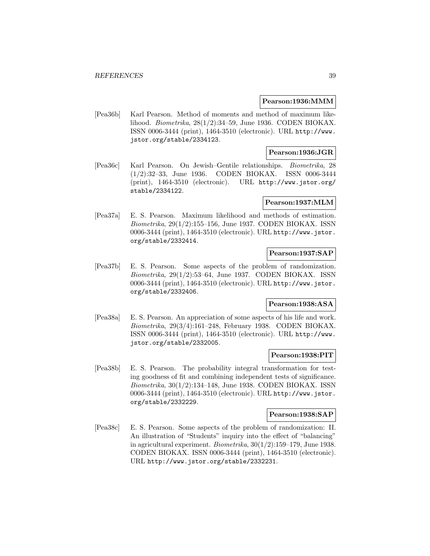#### **Pearson:1936:MMM**

[Pea36b] Karl Pearson. Method of moments and method of maximum likelihood. Biometrika, 28(1/2):34–59, June 1936. CODEN BIOKAX. ISSN 0006-3444 (print), 1464-3510 (electronic). URL http://www. jstor.org/stable/2334123.

### **Pearson:1936:JGR**

[Pea36c] Karl Pearson. On Jewish–Gentile relationships. Biometrika, 28 (1/2):32–33, June 1936. CODEN BIOKAX. ISSN 0006-3444 (print), 1464-3510 (electronic). URL http://www.jstor.org/ stable/2334122.

### **Pearson:1937:MLM**

[Pea37a] E. S. Pearson. Maximum likelihood and methods of estimation. Biometrika, 29(1/2):155–156, June 1937. CODEN BIOKAX. ISSN 0006-3444 (print), 1464-3510 (electronic). URL http://www.jstor. org/stable/2332414.

# **Pearson:1937:SAP**

[Pea37b] E. S. Pearson. Some aspects of the problem of randomization. Biometrika, 29(1/2):53–64, June 1937. CODEN BIOKAX. ISSN 0006-3444 (print), 1464-3510 (electronic). URL http://www.jstor. org/stable/2332406.

# **Pearson:1938:ASA**

[Pea38a] E. S. Pearson. An appreciation of some aspects of his life and work. Biometrika, 29(3/4):161–248, February 1938. CODEN BIOKAX. ISSN 0006-3444 (print), 1464-3510 (electronic). URL http://www. jstor.org/stable/2332005.

#### **Pearson:1938:PIT**

[Pea38b] E. S. Pearson. The probability integral transformation for testing goodness of fit and combining independent tests of significance. Biometrika, 30(1/2):134–148, June 1938. CODEN BIOKAX. ISSN 0006-3444 (print), 1464-3510 (electronic). URL http://www.jstor. org/stable/2332229.

#### **Pearson:1938:SAP**

[Pea38c] E. S. Pearson. Some aspects of the problem of randomization: II. An illustration of "Students" inquiry into the effect of "balancing" in agricultural experiment. Biometrika, 30(1/2):159–179, June 1938. CODEN BIOKAX. ISSN 0006-3444 (print), 1464-3510 (electronic). URL http://www.jstor.org/stable/2332231.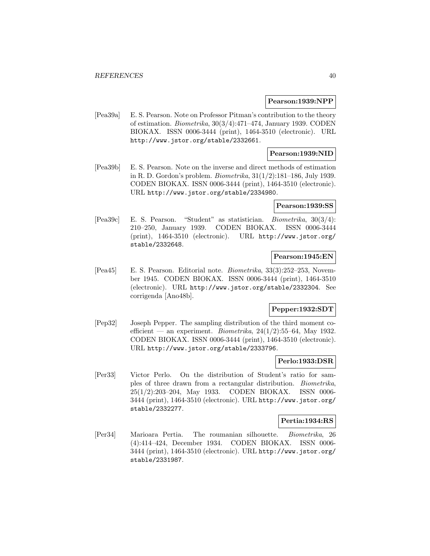#### **Pearson:1939:NPP**

[Pea39a] E. S. Pearson. Note on Professor Pitman's contribution to the theory of estimation. Biometrika, 30(3/4):471–474, January 1939. CODEN BIOKAX. ISSN 0006-3444 (print), 1464-3510 (electronic). URL http://www.jstor.org/stable/2332661.

### **Pearson:1939:NID**

[Pea39b] E. S. Pearson. Note on the inverse and direct methods of estimation in R. D. Gordon's problem. Biometrika, 31(1/2):181–186, July 1939. CODEN BIOKAX. ISSN 0006-3444 (print), 1464-3510 (electronic). URL http://www.jstor.org/stable/2334980.

### **Pearson:1939:SS**

[Pea39c] E. S. Pearson. "Student" as statistician. Biometrika, 30(3/4): 210–250, January 1939. CODEN BIOKAX. ISSN 0006-3444 (print), 1464-3510 (electronic). URL http://www.jstor.org/ stable/2332648.

### **Pearson:1945:EN**

[Pea45] E. S. Pearson. Editorial note. Biometrika, 33(3):252–253, November 1945. CODEN BIOKAX. ISSN 0006-3444 (print), 1464-3510 (electronic). URL http://www.jstor.org/stable/2332304. See corrigenda [Ano48b].

# **Pepper:1932:SDT**

[Pep32] Joseph Pepper. The sampling distribution of the third moment coefficient — an experiment. Biometrika,  $24(1/2)$ :55–64, May 1932. CODEN BIOKAX. ISSN 0006-3444 (print), 1464-3510 (electronic). URL http://www.jstor.org/stable/2333796.

### **Perlo:1933:DSR**

[Per33] Victor Perlo. On the distribution of Student's ratio for samples of three drawn from a rectangular distribution. Biometrika, 25(1/2):203–204, May 1933. CODEN BIOKAX. ISSN 0006- 3444 (print), 1464-3510 (electronic). URL http://www.jstor.org/ stable/2332277.

### **Pertia:1934:RS**

[Per34] Marioara Pertia. The roumanian silhouette. Biometrika, 26 (4):414–424, December 1934. CODEN BIOKAX. ISSN 0006- 3444 (print), 1464-3510 (electronic). URL http://www.jstor.org/ stable/2331987.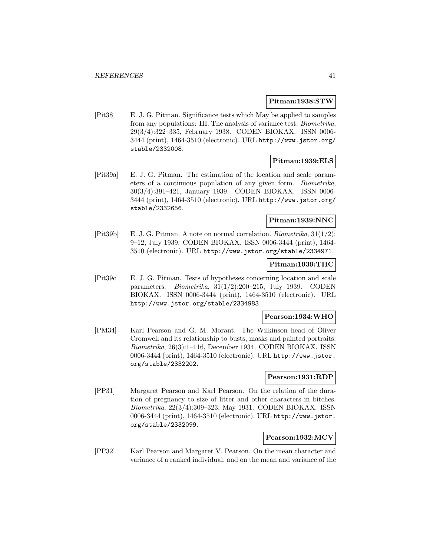#### **Pitman:1938:STW**

[Pit38] E. J. G. Pitman. Significance tests which May be applied to samples from any populations: III. The analysis of variance test. Biometrika, 29(3/4):322–335, February 1938. CODEN BIOKAX. ISSN 0006- 3444 (print), 1464-3510 (electronic). URL http://www.jstor.org/ stable/2332008.

### **Pitman:1939:ELS**

[Pit39a] E. J. G. Pitman. The estimation of the location and scale parameters of a continuous population of any given form. Biometrika, 30(3/4):391–421, January 1939. CODEN BIOKAX. ISSN 0006- 3444 (print), 1464-3510 (electronic). URL http://www.jstor.org/ stable/2332656.

# **Pitman:1939:NNC**

[Pit39b] E. J. G. Pitman. A note on normal correlation. *Biometrika*,  $31(1/2)$ : 9–12, July 1939. CODEN BIOKAX. ISSN 0006-3444 (print), 1464- 3510 (electronic). URL http://www.jstor.org/stable/2334971.

#### **Pitman:1939:THC**

[Pit39c] E. J. G. Pitman. Tests of hypotheses concerning location and scale parameters. *Biometrika*,  $31(1/2):200-215$ , July 1939. CODEN BIOKAX. ISSN 0006-3444 (print), 1464-3510 (electronic). URL http://www.jstor.org/stable/2334983.

#### **Pearson:1934:WHO**

[PM34] Karl Pearson and G. M. Morant. The Wilkinson head of Oliver Cromwell and its relationship to busts, masks and painted portraits. Biometrika, 26(3):1–116, December 1934. CODEN BIOKAX. ISSN 0006-3444 (print), 1464-3510 (electronic). URL http://www.jstor. org/stable/2332202.

#### **Pearson:1931:RDP**

[PP31] Margaret Pearson and Karl Pearson. On the relation of the duration of pregnancy to size of litter and other characters in bitches. Biometrika, 22(3/4):309–323, May 1931. CODEN BIOKAX. ISSN 0006-3444 (print), 1464-3510 (electronic). URL http://www.jstor. org/stable/2332099.

### **Pearson:1932:MCV**

[PP32] Karl Pearson and Margaret V. Pearson. On the mean character and variance of a ranked individual, and on the mean and variance of the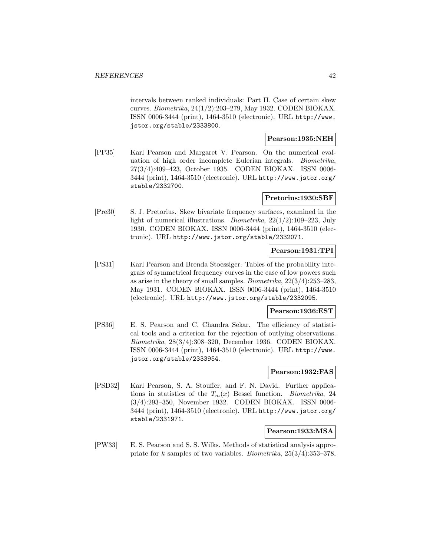intervals between ranked individuals: Part II. Case of certain skew curves. Biometrika, 24(1/2):203–279, May 1932. CODEN BIOKAX. ISSN 0006-3444 (print), 1464-3510 (electronic). URL http://www. jstor.org/stable/2333800.

# **Pearson:1935:NEH**

[PP35] Karl Pearson and Margaret V. Pearson. On the numerical evaluation of high order incomplete Eulerian integrals. Biometrika, 27(3/4):409–423, October 1935. CODEN BIOKAX. ISSN 0006- 3444 (print), 1464-3510 (electronic). URL http://www.jstor.org/ stable/2332700.

# **Pretorius:1930:SBF**

[Pre30] S. J. Pretorius. Skew bivariate frequency surfaces, examined in the light of numerical illustrations. Biometrika, 22(1/2):109–223, July 1930. CODEN BIOKAX. ISSN 0006-3444 (print), 1464-3510 (electronic). URL http://www.jstor.org/stable/2332071.

#### **Pearson:1931:TPI**

[PS31] Karl Pearson and Brenda Stoessiger. Tables of the probability integrals of symmetrical frequency curves in the case of low powers such as arise in the theory of small samples. *Biometrika*,  $22(3/4):253-283$ , May 1931. CODEN BIOKAX. ISSN 0006-3444 (print), 1464-3510 (electronic). URL http://www.jstor.org/stable/2332095.

#### **Pearson:1936:EST**

[PS36] E. S. Pearson and C. Chandra Sekar. The efficiency of statistical tools and a criterion for the rejection of outlying observations. Biometrika, 28(3/4):308–320, December 1936. CODEN BIOKAX. ISSN 0006-3444 (print), 1464-3510 (electronic). URL http://www. jstor.org/stable/2333954.

#### **Pearson:1932:FAS**

[PSD32] Karl Pearson, S. A. Stouffer, and F. N. David. Further applications in statistics of the  $T_m(x)$  Bessel function. Biometrika, 24 (3/4):293–350, November 1932. CODEN BIOKAX. ISSN 0006- 3444 (print), 1464-3510 (electronic). URL http://www.jstor.org/ stable/2331971.

#### **Pearson:1933:MSA**

[PW33] E. S. Pearson and S. S. Wilks. Methods of statistical analysis appropriate for k samples of two variables. *Biometrika*,  $25(3/4)$ : 353–378,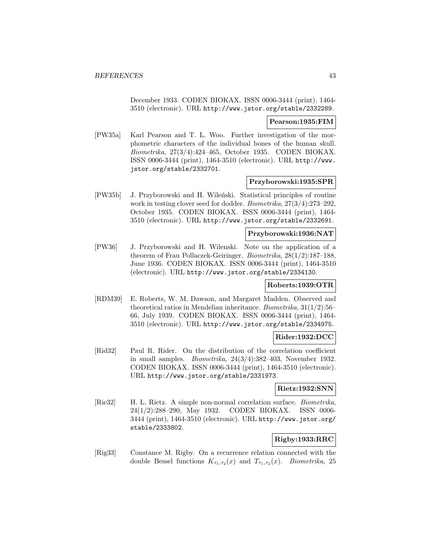December 1933. CODEN BIOKAX. ISSN 0006-3444 (print), 1464- 3510 (electronic). URL http://www.jstor.org/stable/2332289.

#### **Pearson:1935:FIM**

[PW35a] Karl Pearson and T. L. Woo. Further investigation of the morphometric characters of the individual bones of the human skull. Biometrika, 27(3/4):424–465, October 1935. CODEN BIOKAX. ISSN 0006-3444 (print), 1464-3510 (electronic). URL http://www. jstor.org/stable/2332701.

# **Przyborowski:1935:SPR**

[PW35b] J. Przyborowski and H. Wileński. Statistical principles of routine work in testing clover seed for dodder. Biometrika, 27(3/4):273–292, October 1935. CODEN BIOKAX. ISSN 0006-3444 (print), 1464- 3510 (electronic). URL http://www.jstor.org/stable/2332691.

# **Przyborowski:1936:NAT**

[PW36] J. Przyborowski and H. Wilenski. Note on the application of a theorem of Frau Pollaczek-Geiringer. Biometrika, 28(1/2):187–188, June 1936. CODEN BIOKAX. ISSN 0006-3444 (print), 1464-3510 (electronic). URL http://www.jstor.org/stable/2334130.

# **Roberts:1939:OTR**

[RDM39] E. Roberts, W. M. Dawson, and Margaret Madden. Observed and theoretical ratios in Mendelian inheritance. Biometrika, 31(1/2):56– 66, July 1939. CODEN BIOKAX. ISSN 0006-3444 (print), 1464- 3510 (electronic). URL http://www.jstor.org/stable/2334975.

### **Rider:1932:DCC**

[Rid32] Paul R. Rider. On the distribution of the correlation coefficient in small samples. Biometrika, 24(3/4):382–403, November 1932. CODEN BIOKAX. ISSN 0006-3444 (print), 1464-3510 (electronic). URL http://www.jstor.org/stable/2331973.

### **Rietz:1932:SNN**

[Rie32] H. L. Rietz. A simple non-normal correlation surface. Biometrika, 24(1/2):288–290, May 1932. CODEN BIOKAX. ISSN 0006- 3444 (print), 1464-3510 (electronic). URL http://www.jstor.org/ stable/2333802.

# **Rigby:1933:RRC**

[Rig33] Constance M. Rigby. On a recurrence relation connected with the double Bessel functions  $K_{\tau_1,\tau_2}(x)$  and  $T_{\tau_1,\tau_2}(x)$ . Biometrika, 25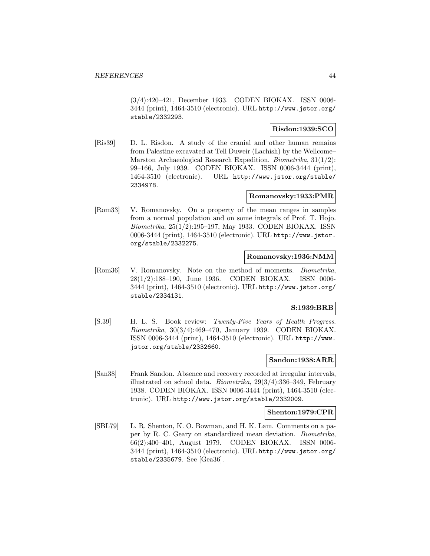(3/4):420–421, December 1933. CODEN BIOKAX. ISSN 0006- 3444 (print), 1464-3510 (electronic). URL http://www.jstor.org/ stable/2332293.

# **Risdon:1939:SCO**

[Ris39] D. L. Risdon. A study of the cranial and other human remains from Palestine excavated at Tell Duweir (Lachish) by the Wellcome– Marston Archaeological Research Expedition. Biometrika, 31(1/2): 99–166, July 1939. CODEN BIOKAX. ISSN 0006-3444 (print), 1464-3510 (electronic). URL http://www.jstor.org/stable/ 2334978.

# **Romanovsky:1933:PMR**

[Rom33] V. Romanovsky. On a property of the mean ranges in samples from a normal population and on some integrals of Prof. T. Hojo. Biometrika, 25(1/2):195–197, May 1933. CODEN BIOKAX. ISSN 0006-3444 (print), 1464-3510 (electronic). URL http://www.jstor. org/stable/2332275.

# **Romanovsky:1936:NMM**

[Rom36] V. Romanovsky. Note on the method of moments. Biometrika, 28(1/2):188–190, June 1936. CODEN BIOKAX. ISSN 0006- 3444 (print), 1464-3510 (electronic). URL http://www.jstor.org/ stable/2334131.

# **S:1939:BRB**

[S.39] H. L. S. Book review: Twenty-Five Years of Health Progress. Biometrika, 30(3/4):469–470, January 1939. CODEN BIOKAX. ISSN 0006-3444 (print), 1464-3510 (electronic). URL http://www. jstor.org/stable/2332660.

# **Sandon:1938:ARR**

[San38] Frank Sandon. Absence and recovery recorded at irregular intervals, illustrated on school data. Biometrika, 29(3/4):336–349, February 1938. CODEN BIOKAX. ISSN 0006-3444 (print), 1464-3510 (electronic). URL http://www.jstor.org/stable/2332009.

### **Shenton:1979:CPR**

[SBL79] L. R. Shenton, K. O. Bowman, and H. K. Lam. Comments on a paper by R. C. Geary on standardized mean deviation. Biometrika, 66(2):400–401, August 1979. CODEN BIOKAX. ISSN 0006- 3444 (print), 1464-3510 (electronic). URL http://www.jstor.org/ stable/2335679. See [Gea36].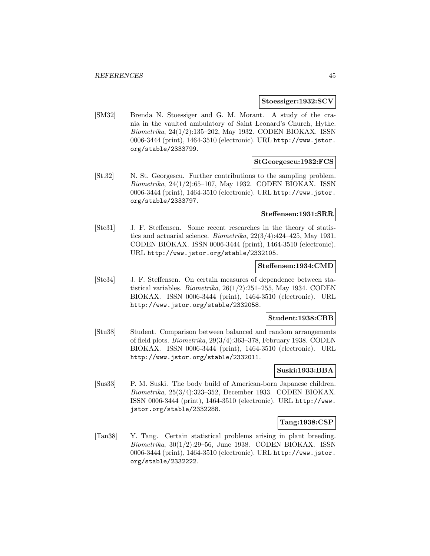#### **Stoessiger:1932:SCV**

[SM32] Brenda N. Stoessiger and G. M. Morant. A study of the crania in the vaulted ambulatory of Saint Leonard's Church, Hythe. Biometrika, 24(1/2):135–202, May 1932. CODEN BIOKAX. ISSN 0006-3444 (print), 1464-3510 (electronic). URL http://www.jstor. org/stable/2333799.

### **StGeorgescu:1932:FCS**

[St.32] N. St. Georgescu. Further contributions to the sampling problem. Biometrika, 24(1/2):65–107, May 1932. CODEN BIOKAX. ISSN 0006-3444 (print), 1464-3510 (electronic). URL http://www.jstor. org/stable/2333797.

#### **Steffensen:1931:SRR**

[Ste31] J. F. Steffensen. Some recent researches in the theory of statistics and actuarial science. Biometrika, 22(3/4):424–425, May 1931. CODEN BIOKAX. ISSN 0006-3444 (print), 1464-3510 (electronic). URL http://www.jstor.org/stable/2332105.

#### **Steffensen:1934:CMD**

[Ste34] J. F. Steffensen. On certain measures of dependence between statistical variables. *Biometrika*,  $26(1/2):251-255$ , May 1934. CODEN BIOKAX. ISSN 0006-3444 (print), 1464-3510 (electronic). URL http://www.jstor.org/stable/2332058.

#### **Student:1938:CBB**

[Stu38] Student. Comparison between balanced and random arrangements of field plots. Biometrika, 29(3/4):363–378, February 1938. CODEN BIOKAX. ISSN 0006-3444 (print), 1464-3510 (electronic). URL http://www.jstor.org/stable/2332011.

# **Suski:1933:BBA**

[Sus33] P. M. Suski. The body build of American-born Japanese children. Biometrika, 25(3/4):323–352, December 1933. CODEN BIOKAX. ISSN 0006-3444 (print), 1464-3510 (electronic). URL http://www. jstor.org/stable/2332288.

#### **Tang:1938:CSP**

[Tan38] Y. Tang. Certain statistical problems arising in plant breeding. Biometrika, 30(1/2):29–56, June 1938. CODEN BIOKAX. ISSN 0006-3444 (print), 1464-3510 (electronic). URL http://www.jstor. org/stable/2332222.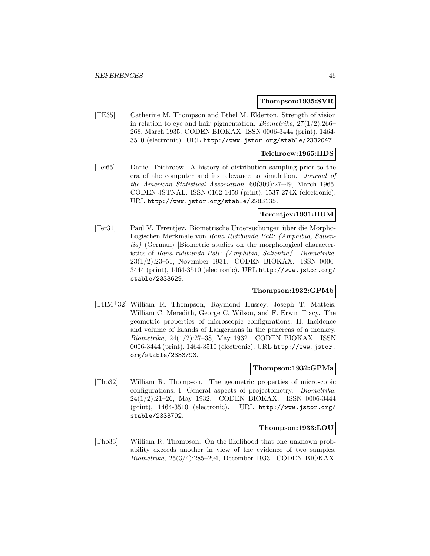#### **Thompson:1935:SVR**

[TE35] Catherine M. Thompson and Ethel M. Elderton. Strength of vision in relation to eye and hair pigmentation. *Biometrika*,  $27(1/2):266-$ 268, March 1935. CODEN BIOKAX. ISSN 0006-3444 (print), 1464- 3510 (electronic). URL http://www.jstor.org/stable/2332047.

### **Teichroew:1965:HDS**

[Tei65] Daniel Teichroew. A history of distribution sampling prior to the era of the computer and its relevance to simulation. Journal of the American Statistical Association, 60(309):27–49, March 1965. CODEN JSTNAL. ISSN 0162-1459 (print), 1537-274X (electronic). URL http://www.jstor.org/stable/2283135.

### **Terentjev:1931:BUM**

[Ter31] Paul V. Terentjev. Biometrische Untersuchungen ¨uber die Morpho-Logischen Merkmale von Rana Ridibunda Pall: (Amphibia, Salientia) (German) [Biometric studies on the morphological characteristics of Rana ridibunda Pall: (Amphibia, Salientia)]. Biometrika, 23(1/2):23–51, November 1931. CODEN BIOKAX. ISSN 0006- 3444 (print), 1464-3510 (electronic). URL http://www.jstor.org/ stable/2333629.

### **Thompson:1932:GPMb**

[THM<sup>+</sup>32] William R. Thompson, Raymond Hussey, Joseph T. Matteis, William C. Meredith, George C. Wilson, and F. Erwin Tracy. The geometric properties of microscopic configurations. II. Incidence and volume of Islands of Langerhans in the pancreas of a monkey. Biometrika, 24(1/2):27–38, May 1932. CODEN BIOKAX. ISSN 0006-3444 (print), 1464-3510 (electronic). URL http://www.jstor. org/stable/2333793.

#### **Thompson:1932:GPMa**

[Tho32] William R. Thompson. The geometric properties of microscopic configurations. I. General aspects of projectometry. Biometrika, 24(1/2):21–26, May 1932. CODEN BIOKAX. ISSN 0006-3444 (print), 1464-3510 (electronic). URL http://www.jstor.org/ stable/2333792.

### **Thompson:1933:LOU**

[Tho33] William R. Thompson. On the likelihood that one unknown probability exceeds another in view of the evidence of two samples. Biometrika, 25(3/4):285–294, December 1933. CODEN BIOKAX.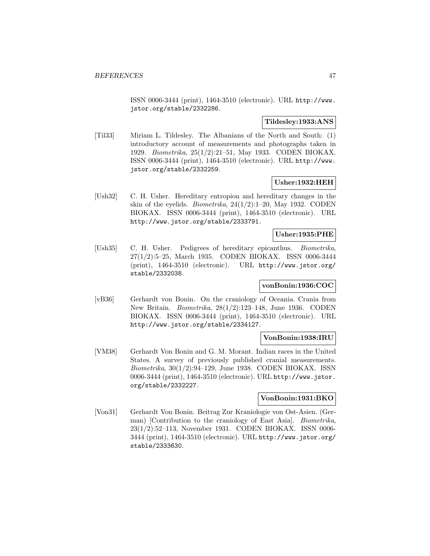ISSN 0006-3444 (print), 1464-3510 (electronic). URL http://www. jstor.org/stable/2332286.

### **Tildesley:1933:ANS**

[Til33] Miriam L. Tildesley. The Albanians of the North and South: (1) introductory account of measurements and photographs taken in 1929. Biometrika, 25(1/2):21–51, May 1933. CODEN BIOKAX. ISSN 0006-3444 (print), 1464-3510 (electronic). URL http://www. jstor.org/stable/2332259.

# **Usher:1932:HEH**

[Ush32] C. H. Usher. Hereditary entropion and hereditary changes in the skin of the eyelids. *Biometrika*,  $24(1/2):1-20$ , May 1932. CODEN BIOKAX. ISSN 0006-3444 (print), 1464-3510 (electronic). URL http://www.jstor.org/stable/2333791.

#### **Usher:1935:PHE**

[Ush35] C. H. Usher. Pedigrees of hereditary epicanthus. Biometrika, 27(1/2):5–25, March 1935. CODEN BIOKAX. ISSN 0006-3444 (print), 1464-3510 (electronic). URL http://www.jstor.org/ stable/2332038.

#### **vonBonin:1936:COC**

[vB36] Gerhardt von Bonin. On the craniology of Oceania. Crania from New Britain. Biometrika, 28(1/2):123–148, June 1936. CODEN BIOKAX. ISSN 0006-3444 (print), 1464-3510 (electronic). URL http://www.jstor.org/stable/2334127.

# **VonBonin:1938:IRU**

[VM38] Gerhardt Von Bonin and G. M. Morant. Indian races in the United States. A survey of previously published cranial measurements. Biometrika, 30(1/2):94–129, June 1938. CODEN BIOKAX. ISSN 0006-3444 (print), 1464-3510 (electronic). URL http://www.jstor. org/stable/2332227.

### **VonBonin:1931:BKO**

[Von31] Gerhardt Von Bonin. Beitrag Zur Kraniologie von Ost-Asien. (German) [Contribution to the craniology of East Asia]. Biometrika, 23(1/2):52–113, November 1931. CODEN BIOKAX. ISSN 0006- 3444 (print), 1464-3510 (electronic). URL http://www.jstor.org/ stable/2333630.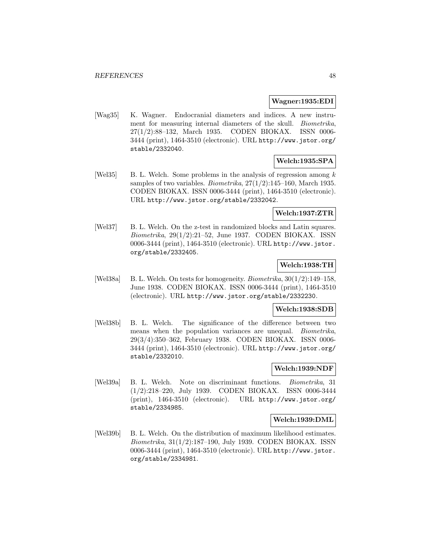#### **Wagner:1935:EDI**

[Wag35] K. Wagner. Endocranial diameters and indices. A new instrument for measuring internal diameters of the skull. Biometrika, 27(1/2):88–132, March 1935. CODEN BIOKAX. ISSN 0006- 3444 (print), 1464-3510 (electronic). URL http://www.jstor.org/ stable/2332040.

# **Welch:1935:SPA**

[Wel35] B. L. Welch. Some problems in the analysis of regression among  $k$ samples of two variables. *Biometrika*,  $27(1/2)$ :145–160, March 1935. CODEN BIOKAX. ISSN 0006-3444 (print), 1464-3510 (electronic). URL http://www.jstor.org/stable/2332042.

# **Welch:1937:ZTR**

[Wel37] B. L. Welch. On the z-test in randomized blocks and Latin squares. Biometrika, 29(1/2):21–52, June 1937. CODEN BIOKAX. ISSN 0006-3444 (print), 1464-3510 (electronic). URL http://www.jstor. org/stable/2332405.

# **Welch:1938:TH**

[Wel38a] B. L. Welch. On tests for homogeneity. Biometrika,  $30(1/2)$ :149–158, June 1938. CODEN BIOKAX. ISSN 0006-3444 (print), 1464-3510 (electronic). URL http://www.jstor.org/stable/2332230.

### **Welch:1938:SDB**

[Wel38b] B. L. Welch. The significance of the difference between two means when the population variances are unequal. *Biometrika*, 29(3/4):350–362, February 1938. CODEN BIOKAX. ISSN 0006- 3444 (print), 1464-3510 (electronic). URL http://www.jstor.org/ stable/2332010.

### **Welch:1939:NDF**

[Wel39a] B. L. Welch. Note on discriminant functions. Biometrika, 31 (1/2):218–220, July 1939. CODEN BIOKAX. ISSN 0006-3444 (print), 1464-3510 (electronic). URL http://www.jstor.org/ stable/2334985.

### **Welch:1939:DML**

[Wel39b] B. L. Welch. On the distribution of maximum likelihood estimates. Biometrika, 31(1/2):187–190, July 1939. CODEN BIOKAX. ISSN 0006-3444 (print), 1464-3510 (electronic). URL http://www.jstor. org/stable/2334981.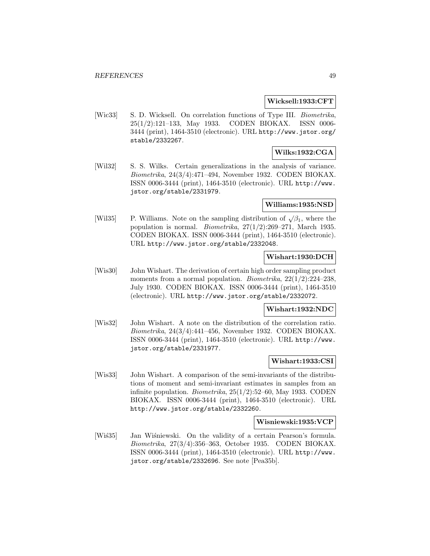#### **Wicksell:1933:CFT**

[Wic33] S. D. Wicksell. On correlation functions of Type III. Biometrika, 25(1/2):121–133, May 1933. CODEN BIOKAX. ISSN 0006- 3444 (print), 1464-3510 (electronic). URL http://www.jstor.org/ stable/2332267.

# **Wilks:1932:CGA**

[Wil32] S. S. Wilks. Certain generalizations in the analysis of variance. Biometrika, 24(3/4):471–494, November 1932. CODEN BIOKAX. ISSN 0006-3444 (print), 1464-3510 (electronic). URL http://www. jstor.org/stable/2331979.

# **Williams:1935:NSD**

[Wil35] P. Williams. Note on the sampling distribution of  $\sqrt{\beta_1}$ , where the population is normal. Biometrika, 27(1/2):269–271, March 1935. CODEN BIOKAX. ISSN 0006-3444 (print), 1464-3510 (electronic). URL http://www.jstor.org/stable/2332048.

# **Wishart:1930:DCH**

[Wis30] John Wishart. The derivation of certain high order sampling product moments from a normal population. *Biometrika*,  $22(1/2):224-238$ , July 1930. CODEN BIOKAX. ISSN 0006-3444 (print), 1464-3510 (electronic). URL http://www.jstor.org/stable/2332072.

### **Wishart:1932:NDC**

[Wis32] John Wishart. A note on the distribution of the correlation ratio. Biometrika, 24(3/4):441–456, November 1932. CODEN BIOKAX. ISSN 0006-3444 (print), 1464-3510 (electronic). URL http://www. jstor.org/stable/2331977.

#### **Wishart:1933:CSI**

[Wis33] John Wishart. A comparison of the semi-invariants of the distributions of moment and semi-invariant estimates in samples from an infinite population. Biometrika, 25(1/2):52–60, May 1933. CODEN BIOKAX. ISSN 0006-3444 (print), 1464-3510 (electronic). URL http://www.jstor.org/stable/2332260.

#### **Wisniewski:1935:VCP**

[Wiś35] Jan Wiśniewski. On the validity of a certain Pearson's formula. Biometrika, 27(3/4):356–363, October 1935. CODEN BIOKAX. ISSN 0006-3444 (print), 1464-3510 (electronic). URL http://www. jstor.org/stable/2332696. See note [Pea35b].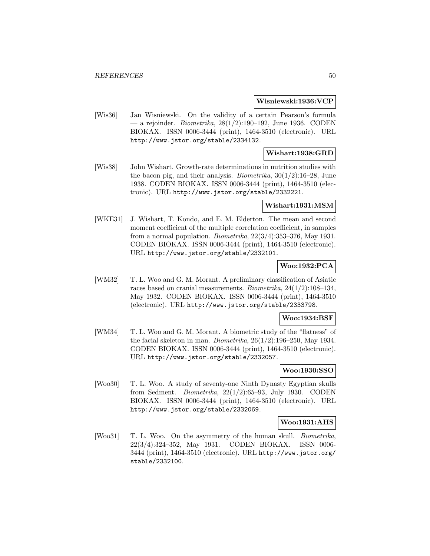#### **Wisniewski:1936:VCP**

[Wis36] Jan Wisniewski. On the validity of a certain Pearson's formula — a rejoinder. *Biometrika*,  $28(1/2):190-192$ , June 1936. CODEN BIOKAX. ISSN 0006-3444 (print), 1464-3510 (electronic). URL http://www.jstor.org/stable/2334132.

### **Wishart:1938:GRD**

[Wis38] John Wishart. Growth-rate determinations in nutrition studies with the bacon pig, and their analysis. *Biometrika*,  $30(1/2):16-28$ , June 1938. CODEN BIOKAX. ISSN 0006-3444 (print), 1464-3510 (electronic). URL http://www.jstor.org/stable/2332221.

#### **Wishart:1931:MSM**

[WKE31] J. Wishart, T. Kondo, and E. M. Elderton. The mean and second moment coefficient of the multiple correlation coefficient, in samples from a normal population. *Biometrika*,  $22(3/4)$ :353–376, May 1931. CODEN BIOKAX. ISSN 0006-3444 (print), 1464-3510 (electronic). URL http://www.jstor.org/stable/2332101.

# **Woo:1932:PCA**

[WM32] T. L. Woo and G. M. Morant. A preliminary classification of Asiatic races based on cranial measurements. Biometrika, 24(1/2):108–134, May 1932. CODEN BIOKAX. ISSN 0006-3444 (print), 1464-3510 (electronic). URL http://www.jstor.org/stable/2333798.

### **Woo:1934:BSF**

[WM34] T. L. Woo and G. M. Morant. A biometric study of the "flatness" of the facial skeleton in man. Biometrika, 26(1/2):196–250, May 1934. CODEN BIOKAX. ISSN 0006-3444 (print), 1464-3510 (electronic). URL http://www.jstor.org/stable/2332057.

# **Woo:1930:SSO**

[Woo30] T. L. Woo. A study of seventy-one Ninth Dynasty Egyptian skulls from Sedment. Biometrika, 22(1/2):65–93, July 1930. CODEN BIOKAX. ISSN 0006-3444 (print), 1464-3510 (electronic). URL http://www.jstor.org/stable/2332069.

#### **Woo:1931:AHS**

[Woo31] T. L. Woo. On the asymmetry of the human skull. *Biometrika*, 22(3/4):324–352, May 1931. CODEN BIOKAX. ISSN 0006- 3444 (print), 1464-3510 (electronic). URL http://www.jstor.org/ stable/2332100.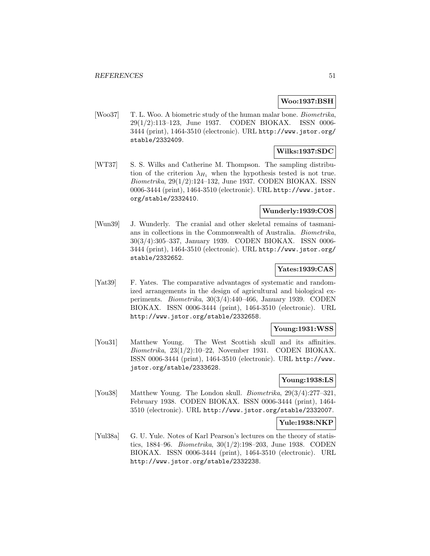# **Woo:1937:BSH**

[Woo37] T. L. Woo. A biometric study of the human malar bone. Biometrika, 29(1/2):113–123, June 1937. CODEN BIOKAX. ISSN 0006- 3444 (print), 1464-3510 (electronic). URL http://www.jstor.org/ stable/2332409.

# **Wilks:1937:SDC**

[WT37] S. S. Wilks and Catherine M. Thompson. The sampling distribution of the criterion  $\lambda_{H_1}$  when the hypothesis tested is not true. Biometrika, 29(1/2):124–132, June 1937. CODEN BIOKAX. ISSN 0006-3444 (print), 1464-3510 (electronic). URL http://www.jstor. org/stable/2332410.

# **Wunderly:1939:COS**

[Wun39] J. Wunderly. The cranial and other skeletal remains of tasmanians in collections in the Commonwealth of Australia. Biometrika, 30(3/4):305–337, January 1939. CODEN BIOKAX. ISSN 0006- 3444 (print), 1464-3510 (electronic). URL http://www.jstor.org/ stable/2332652.

# **Yates:1939:CAS**

[Yat39] F. Yates. The comparative advantages of systematic and randomized arrangements in the design of agricultural and biological experiments. Biometrika, 30(3/4):440–466, January 1939. CODEN BIOKAX. ISSN 0006-3444 (print), 1464-3510 (electronic). URL http://www.jstor.org/stable/2332658.

### **Young:1931:WSS**

[You31] Matthew Young. The West Scottish skull and its affinities. Biometrika, 23(1/2):10–22, November 1931. CODEN BIOKAX. ISSN 0006-3444 (print), 1464-3510 (electronic). URL http://www. jstor.org/stable/2333628.

# **Young:1938:LS**

[You38] Matthew Young. The London skull. Biometrika, 29(3/4):277–321, February 1938. CODEN BIOKAX. ISSN 0006-3444 (print), 1464- 3510 (electronic). URL http://www.jstor.org/stable/2332007.

#### **Yule:1938:NKP**

[Yul38a] G. U. Yule. Notes of Karl Pearson's lectures on the theory of statistics, 1884–96. Biometrika, 30(1/2):198–203, June 1938. CODEN BIOKAX. ISSN 0006-3444 (print), 1464-3510 (electronic). URL http://www.jstor.org/stable/2332238.